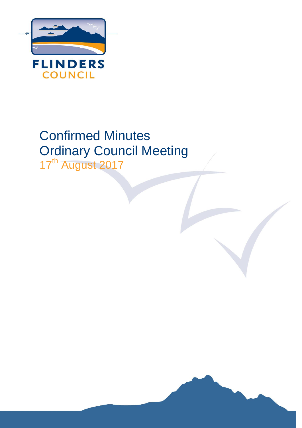

# Confirmed Minutes Ordinary Council Meeting 17<sup>th</sup> August 2017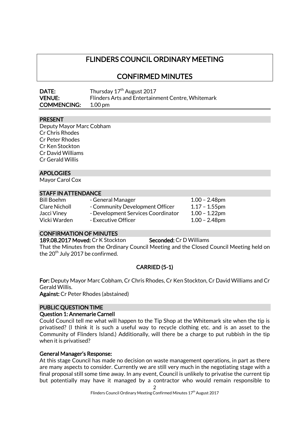## FLINDERS COUNCIL ORDINARY MEETING

CONFIRMED MINUTES

| <b>DATE:</b>       | Thursday 17 <sup>th</sup> August 2017             |
|--------------------|---------------------------------------------------|
| <b>VENUE:</b>      | Flinders Arts and Entertainment Centre, Whitemark |
| <b>COMMENCING:</b> | $1.00 \,\mathrm{pm}$                              |

#### PRESENT

Deputy Mayor Marc Cobham Cr Chris Rhodes Cr Peter Rhodes Cr Ken Stockton Cr David Williams Cr Gerald Willis

### APOLOGIES

Mayor Carol Cox

#### STAFF IN ATTENDANCE

| <b>Bill Boehm</b> | - General Manager                  | $1.00 - 2.48$ pm |
|-------------------|------------------------------------|------------------|
| Clare Nicholl     | - Community Development Officer    | $1.17 - 1.55$ pm |
| Jacci Viney       | - Development Services Coordinator | $1.00 - 1.22$ pm |
| Vicki Warden      | - Executive Officer                | $1.00 - 2.48$ pm |

### CONFIRMATION OF MINUTES

189.08.2017 Moved: Cr K Stockton Seconded: Cr D Williams

That the Minutes from the Ordinary Council Meeting and the Closed Council Meeting held on the  $20^{th}$  July 2017 be confirmed.

### CARRIED (5-1)

For: Deputy Mayor Marc Cobham, Cr Chris Rhodes, Cr Ken Stockton, Cr David Williams and Cr Gerald Willis.

Against: Cr Peter Rhodes (abstained)

#### PUBLIC QUESTION TIME

#### Question 1: Annemarie Carnell

Could Council tell me what will happen to the Tip Shop at the Whitemark site when the tip is privatised? (I think it is such a useful way to recycle clothing etc. and is an asset to the Community of Flinders Island.) Additionally, will there be a charge to put rubbish in the tip when it is privatised?

#### General Manager's Response:

At this stage Council has made no decision on waste management operations, in part as there are many aspects to consider. Currently we are still very much in the negotiating stage with a final proposal still some time away. In any event, Council is unlikely to privatise the current tip but potentially may have it managed by a contractor who would remain responsible to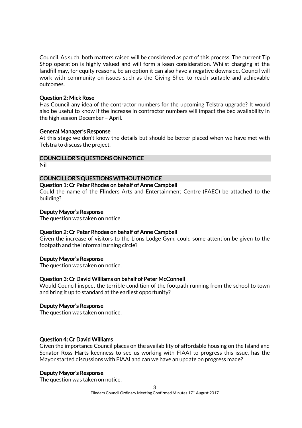Council. As such, both matters raised will be considered as part of this process. The current Tip Shop operation is highly valued and will form a keen consideration. Whilst charging at the landfill may, for equity reasons, be an option it can also have a negative downside. Council will work with community on issues such as the Giving Shed to reach suitable and achievable outcomes.

#### Question 2: Mick Rose

Has Council any idea of the contractor numbers for the upcoming Telstra upgrade? It would also be useful to know if the increase in contractor numbers will impact the bed availability in the high season December – April.

#### General Manager's Response

At this stage we don't know the details but should be better placed when we have met with Telstra to discuss the project.

#### COUNCILLOR'S QUESTIONS ON NOTICE

Nil

#### COUNCILLOR'S QUESTIONS WITHOUT NOTICE

#### Question 1: Cr Peter Rhodes on behalf of Anne Campbell

Could the name of the Flinders Arts and Entertainment Centre (FAEC) be attached to the building?

#### Deputy Mayor's Response

The question was taken on notice.

#### Question 2: Cr Peter Rhodes on behalf of Anne Campbell

Given the increase of visitors to the Lions Lodge Gym, could some attention be given to the footpath and the informal turning circle?

#### Deputy Mayor's Response

The question was taken on notice.

### Question 3: Cr David Williams on behalf of Peter McConnell

Would Council inspect the terrible condition of the footpath running from the school to town and bring it up to standard at the earliest opportunity?

#### Deputy Mayor's Response

The question was taken on notice.

#### Question 4: Cr David Williams

Given the importance Council places on the availability of affordable housing on the Island and Senator Ross Harts keenness to see us working with FIAAI to progress this issue, has the Mayor started discussions with FIAAI and can we have an update on progress made?

#### Deputy Mayor's Response

The question was taken on notice.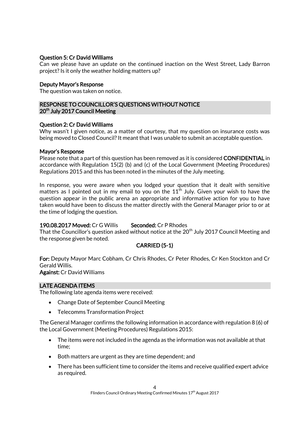### Question 5: Cr David Williams

Can we please have an update on the continued inaction on the West Street, Lady Barron project? Is it only the weather holding matters up?

#### Deputy Mayor's Response

The question was taken on notice.

### RESPONSE TO COUNCILLOR'S QUESTIONS WITHOUT NOTICE 20<sup>th</sup> July 2017 Council Meeting

#### Question 2: Cr David Williams

Why wasn't I given notice, as a matter of courtesy, that my question on insurance costs was being moved to Closed Council? It meant that I was unable to submit an acceptable question.

#### Mayor's Response

Please note that a part of this question has been removed as it is considered CONFIDENTIAL in accordance with Regulation 15(2) (b) and (c) of the Local Government (Meeting Procedures) Regulations 2015 and this has been noted in the minutes of the July meeting.

In response, you were aware when you lodged your question that it dealt with sensitive matters as I pointed out in my email to you on the 11<sup>th</sup> July. Given your wish to have the question appear in the public arena an appropriate and informative action for you to have taken would have been to discuss the matter directly with the General Manager prior to or at the time of lodging the question.

### 190.08.2017 Moved: Cr G Willis Seconded: Cr P Rhodes

That the Councillor's question asked without notice at the  $20<sup>th</sup>$  July 2017 Council Meeting and the response given be noted.

### CARRIED (5-1)

For: Deputy Mayor Marc Cobham, Cr Chris Rhodes, Cr Peter Rhodes, Cr Ken Stockton and Cr Gerald Willis.

Against: Cr David Williams

### LATE AGENDA ITEMS

The following late agenda items were received:

- Change Date of September Council Meeting
- Telecomms Transformation Project

The General Manager confirms the following information in accordance with regulation 8 (6) of the Local Government (Meeting Procedures) Regulations 2015:

- The items were not included in the agenda as the information was not available at that time;
- Both matters are urgent as they are time dependent; and
- There has been sufficient time to consider the items and receive qualified expert advice as required.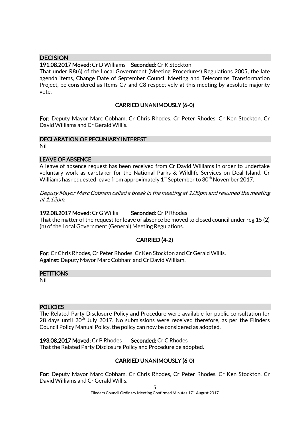### **DECISION**

### 191.08.2017 Moved: Cr D Williams Seconded: Cr K Stockton

That under R8(6) of the Local Government (Meeting Procedures) Regulations 2005, the late agenda items, Change Date of September Council Meeting and Telecomms Transformation Project, be considered as Items C7 and C8 respectively at this meeting by absolute majority vote.

### CARRIED UNANIMOUSLY (6-0)

For: Deputy Mayor Marc Cobham, Cr Chris Rhodes, Cr Peter Rhodes, Cr Ken Stockton, Cr David Williams and Cr Gerald Willis.

#### DECLARATION OF PECUNIARY INTEREST

Nil

#### LEAVE OF ABSENCE

A leave of absence request has been received from Cr David Williams in order to undertake voluntary work as caretaker for the National Parks & Wildlife Services on Deal Island. Cr Williams has requested leave from approximately  $1<sup>st</sup>$  September to 30<sup>th</sup> November 2017.

Deputy Mayor Marc Cobham called a break in the meeting at 1.08pm and resumed the meeting at 1.12pm.

#### 192.08.2017 Moved: Cr G Willis Seconded: Cr P Rhodes

That the matter of the request for leave of absence be moved to closed council under reg 15 (2) (h) of the Local Government (General) Meeting Regulations.

### CARRIED (4-2)

For: Cr Chris Rhodes, Cr Peter Rhodes, Cr Ken Stockton and Cr Gerald Willis. Against: Deputy Mayor Marc Cobham and Cr David William.

#### **PETITIONS**

Nil

#### **POLICIES**

The Related Party Disclosure Policy and Procedure were available for public consultation for 28 days until  $20<sup>th</sup>$  July 2017. No submissions were received therefore, as per the Flinders Council Policy Manual Policy, the policy can now be considered as adopted.

#### 193.08.2017 Moved: Cr P Rhodes Seconded: Cr C Rhodes

That the Related Party Disclosure Policy and Procedure be adopted.

#### CARRIED UNANIMOUSLY (6-0)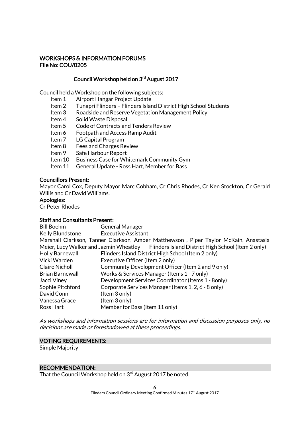### WORKSHOPS & INFORMATION FORUMS File No: COU/0205

### Council Workshop held on 3<sup>rd</sup> August 2017

Council held a Workshop on the following subjects:

- Item 1 Airport Hangar Project Update
- Item 2 Tunapri Flinders Flinders Island District High School Students
- Item 3 Roadside and Reserve Vegetation Management Policy
- Item 4 Solid Waste Disposal
- Item 5 Code of Contracts and Tenders Review
- Item 6 Footpath and Access Ramp Audit
- Item 7 LG Capital Program
- Item 8 Fees and Charges Review
- Item 9 Safe Harbour Report
- Item 10 Business Case for Whitemark Community Gym
- Item 11 General Update Ross Hart, Member for Bass

#### Councillors Present:

Mayor Carol Cox, Deputy Mayor Marc Cobham, Cr Chris Rhodes, Cr Ken Stockton, Cr Gerald Willis and Cr David Williams.

#### Apologies:

Cr Peter Rhodes

#### Staff and Consultants Present:

| <b>Bill Boehm</b>      | <b>General Manager</b>                                                                    |
|------------------------|-------------------------------------------------------------------------------------------|
| Kelly Blundstone       | <b>Executive Assistant</b>                                                                |
|                        | Marshall Clarkson, Tanner Clarkson, Amber Matthewson, Piper Taylor McKain, Anastasia      |
|                        | Meier, Lucy Walker and Jazmin Wheatley Flinders Island District High School (Item 2 only) |
| <b>Holly Barnewall</b> | Flinders Island District High School (Item 2 only)                                        |
| Vicki Warden           | Executive Officer (Item 2 only)                                                           |
| <b>Claire Nicholl</b>  | Community Development Officer (Item 2 and 9 only)                                         |
| Brian Barnewall        | Works & Services Manager (Items 1 - 7 only)                                               |
| Jacci Viney            | Development Services Coordinator (Items 1 - 8only)                                        |
| Sophie Pitchford       | Corporate Services Manager (Items 1, 2, 6 - 8 only)                                       |
| David Conn             | (Item 3 only)                                                                             |
| Vanessa Grace          | (Item 3 only)                                                                             |
| Ross Hart              | Member for Bass (Item 11 only)                                                            |

As workshops and information sessions are for information and discussion purposes only, no decisions are made or foreshadowed at these proceedings.

#### VOTING REQUIREMENTS:

Simple Majority

### RECOMMENDATION:

That the Council Workshop held on 3<sup>rd</sup> August 2017 be noted.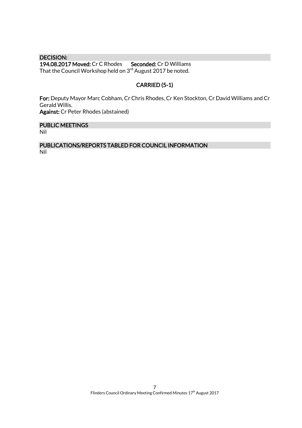DECISION: 194.08.2017 Moved: Cr C Rhodes Seconded: Cr D Williams That the Council Workshop held on 3<sup>rd</sup> August 2017 be noted.

### CARRIED (5-1)

For: Deputy Mayor Marc Cobham, Cr Chris Rhodes, Cr Ken Stockton, Cr David Williams and Cr Gerald Willis. Against: Cr Peter Rhodes (abstained)

PUBLIC MEETINGS

Nil

PUBLICATIONS/REPORTS TABLED FOR COUNCIL INFORMATION Nil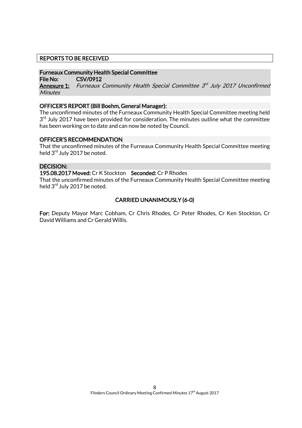### REPORTS TO BE RECEIVED

#### Furneaux Community Health Special Committee

File No: CSV/0912

**Annexure 1:** Furneaux Community Health Special Committee 3<sup>rd</sup> July 2017 Unconfirmed **Minutes** 

#### OFFICER'S REPORT (Bill Boehm, General Manager):

The unconfirmed minutes of the Furneaux Community Health Special Committee meeting held  $3<sup>rd</sup>$  July 2017 have been provided for consideration. The minutes outline what the committee has been working on to date and can now be noted by Council.

#### OFFICER'S RECOMMENDATION

That the unconfirmed minutes of the Furneaux Community Health Special Committee meeting held 3<sup>rd</sup> July 2017 be noted.

#### DECISION:

#### 195.08.2017 Moved: Cr K Stockton Seconded: Cr P Rhodes

That the unconfirmed minutes of the Furneaux Community Health Special Committee meeting held 3<sup>rd</sup> July 2017 be noted.

### CARRIED UNANIMOUSLY (6-0)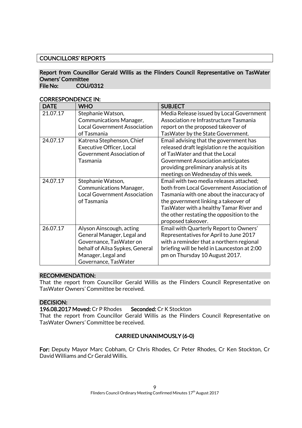### COUNCILLORS' REPORTS

#### Report from Councillor Gerald Willis as the Flinders Council Representative on TasWater Owners' Committee File No: COU/0312

| <b>DATE</b> | <b>WHO</b>                          | <b>SUBJECT</b>                                |
|-------------|-------------------------------------|-----------------------------------------------|
| 21.07.17    | Stephanie Watson,                   | Media Release issued by Local Government      |
|             | <b>Communications Manager,</b>      | Association re Infrastructure Tasmania        |
|             | <b>Local Government Association</b> | report on the proposed takeover of            |
|             | of Tasmania                         | Tas Water by the State Government.            |
| 24.07.17    | Katrena Stephenson, Chief           | Email advising that the government has        |
|             | <b>Executive Officer, Local</b>     | released draft legislation re the acquisition |
|             | Government Association of           | of TasWater and that the Local                |
|             | Tasmania                            | Government Association anticipates            |
|             |                                     | providing preliminary analysis at its         |
|             |                                     | meetings on Wednesday of this week.           |
| 24.07.17    | Stephanie Watson,                   | Email with two media releases attached;       |
|             | <b>Communications Manager,</b>      | both from Local Government Association of     |
|             | <b>Local Government Association</b> | Tasmania with one about the inaccuracy of     |
|             | of Tasmania                         | the government linking a takeover of          |
|             |                                     | TasWater with a healthy Tamar River and       |
|             |                                     | the other restating the opposition to the     |
|             |                                     | proposed takeover.                            |
| 26.07.17    | Alyson Ainscough, acting            | Email with Quarterly Report to Owners'        |
|             | General Manager, Legal and          | Representatives for April to June 2017        |
|             | Governance, TasWater on             | with a reminder that a northern regional      |
|             | behalf of Ailsa Sypkes, General     | briefing will be held in Launceston at 2:00   |
|             | Manager, Legal and                  | pm on Thursday 10 August 2017.                |
|             | Governance, TasWater                |                                               |

#### CORRESPONDENCE IN:

#### RECOMMENDATION:

That the report from Councillor Gerald Willis as the Flinders Council Representative on TasWater Owners' Committee be received.

### DECISION:

196.08.2017 Moved: Cr P Rhodes Seconded: Cr K Stockton

That the report from Councillor Gerald Willis as the Flinders Council Representative on TasWater Owners' Committee be received.

#### CARRIED UNANIMOUSLY (6-0)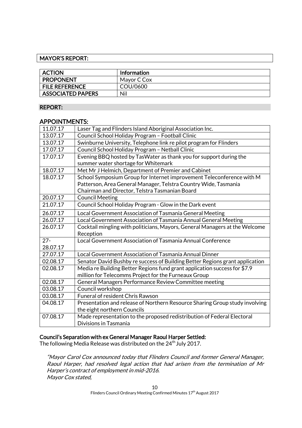### MAYOR'S REPORT:

| <b>ACTION</b>            | Information |
|--------------------------|-------------|
| <b>PROPONENT</b>         | Mayor C Cox |
| <b>FILE REFERENCE</b>    | COU/0600    |
| <b>ASSOCIATED PAPERS</b> | Nil         |

#### REPORT:

### APPOINTMENTS:

| 11.07.17 | Laser Tag and Flinders Island Aboriginal Association Inc.                    |
|----------|------------------------------------------------------------------------------|
| 13.07.17 | Council School Holiday Program - Football Clinic                             |
| 13.07.17 | Swinburne University, Telephone link re pilot program for Flinders           |
| 17.07.17 | Council School Holiday Program - Netball Clinic                              |
| 17.07.17 | Evening BBQ hosted by TasWater as thank you for support during the           |
|          | summer water shortage for Whitemark                                          |
| 18.07.17 | Met Mr J Helmich, Department of Premier and Cabinet                          |
| 18.07.17 | School Symposium Group for Internet improvement Teleconference with M        |
|          | Patterson, Area General Manager, Telstra Country Wide, Tasmania              |
|          | Chairman and Director, Telstra Tasmanian Board                               |
| 20.07.17 | <b>Council Meeting</b>                                                       |
| 21.07.17 | Council School Holiday Program - Glow in the Dark event                      |
| 26.07.17 | Local Government Association of Tasmania General Meeting                     |
| 26.07.17 | Local Government Association of Tasmania Annual General Meeting              |
| 26.07.17 | Cocktail mingling with politicians, Mayors, General Managers at the Welcome  |
|          | Reception                                                                    |
| $27 -$   | Local Government Association of Tasmania Annual Conference                   |
| 28.07.17 |                                                                              |
| 27.07.17 | Local Government Association of Tasmania Annual Dinner                       |
| 02.08.17 | Senator David Bushby re success of Building Better Regions grant application |
| 02.08.17 | Media re Building Better Regions fund grant application success for \$7.9    |
|          | million for Telecomms Project for the Furneaux Group                         |
| 02.08.17 | General Managers Performance Review Committee meeting                        |
| 03.08.17 | Council workshop                                                             |
| 03.08.17 | Funeral of resident Chris Rawson                                             |
| 04.08.17 | Presentation and release of Northern Resource Sharing Group study involving  |
|          | the eight northern Councils                                                  |
| 07.08.17 | Made representation to the proposed redistribution of Federal Electoral      |
|          | Divisions in Tasmania                                                        |

#### Council's Separation with ex General Manager Raoul Harper Settled:

The following Media Release was distributed on the 24<sup>th</sup> July 2017.

"Mayor Carol Cox announced today that Flinders Council and former General Manager, Raoul Harper, had resolved legal action that had arisen from the termination of Mr Harper's contract of employment in mid-2016. Mayor Cox stated,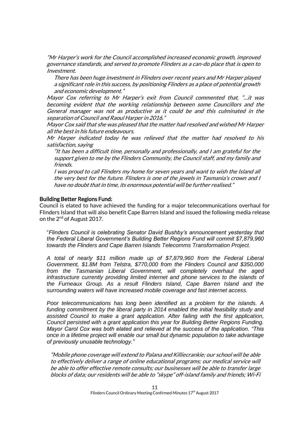"Mr Harper's work for the Council accomplished increased economic growth, improved governance standards, and served to promote Flinders as a can-do place that is open to Investment.

There has been huge investment in Flinders over recent years and Mr Harper played a significant role in this success, by positioning Flinders as a place of potential growth and economic development."

Mayor Cox referring to Mr Harper's exit from Council commented that, "…it was becoming evident that the working relationship between some Councillors and the General manager was not as productive as it could be and this culminated in the separation of Council and Raoul Harper in 2016."

Mayor Cox said that she was pleased that the matter had resolved and wished Mr Harper all the best in his future endeavours.

Mr Harper indicated today he was relieved that the matter had resolved to his satisfaction, saying

"It has been a difficult time, personally and professionally, and I am grateful for the support given to me by the Flinders Community, the Council staff, and my family and friends.

I was proud to call Flinders my home for seven years and want to wish the Island all the very best for the future. Flinders is one of the jewels in Tasmania's crown and I have no doubt that in time, its enormous potential will be further realised."

#### Building Better Regions Fund:

Council is elated to have achieved the funding for a major telecommunications overhaul for Flinders Island that will also benefit Cape Barren Island and issued the following media release on the 2<sup>nd</sup> of August 2017.

"*Flinders Council is celebrating Senator David Bushby's announcement yesterday that the Federal Liberal Government's Building Better Regions Fund will commit \$7,879,960 towards the Flinders and Cape Barren Islands Telecomms Transformation Project.* 

*A total of nearly \$11 million made up of \$7,879,960 from the Federal Liberal Government, \$1.8M from Telstra, \$770,000 from the Flinders Council and \$350,000 from the Tasmanian Liberal Government, will completely overhaul the aged infrastructure currently providing limited internet and phone services to the islands of the Furneaux Group. As a result Flinders Island, Cape Barren Island and the surrounding waters will have increased mobile coverage and fast internet access.* 

*Poor telecommunications has long been identified as a problem for the islands. A funding commitment by the liberal party in 2014 enabled the initial feasibility study and assisted Council to make a grant application. After failing with the first application, Council persisted with a grant application this year for Building Better Regions Funding. Mayor Carol Cox was both elated and relieved at the success of the application. "This once in a lifetime project will enable our small but dynamic population to take advantage of previously unusable technology."* 

"Mobile phone coverage will extend to Palana and Killiecrankie; our school will be able to effectively deliver a range of online educational programs; our medical service will be able to offer effective remote consults; our businesses will be able to transfer large blocks of data; our residents will be able to "skype" off-island family and friends; Wi-Fi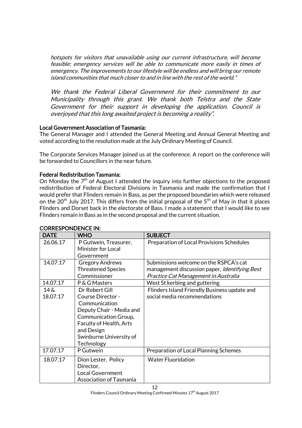hotspots for visitors that unavailable using our current infrastructure, will become feasible; emergency services will be able to communicate more easily in times of emergency. The improvements to our lifestyle will be endless and will bring our remote island communities that much closer to and in line with the rest of the world."

We thank the Federal Liberal Government for their commitment to our Municipality through this grant. We thank both Telstra and the State Government for their support in developing the application. Council is overjoyed that this long awaited project is becoming a reality".

### Local Government Association of Tasmania:

The General Manager and I attended the General Meeting and Annual General Meeting and voted according to the resolution made at the July Ordinary Meeting of Council.

The Corporate Services Manager joined us at the conference. A report on the conference will be forwarded to Councillors in the near future.

### Federal Redistribution Tasmania:

On Monday the  $7<sup>th</sup>$  of August I attended the inquiry into further objections to the proposed redistribution of Federal Electoral Divisions in Tasmania and made the confirmation that I would prefer that Flinders remain in Bass, as per the proposed boundaries which were released on the  $20^{th}$  July 2017. This differs from the initial proposal of the  $5^{th}$  of May in that it places Flinders and Dorset back in the electorate of Bass. I made a statement that I would like to see Flinders remain in Bass as in the second proposal and the current situation.

| <b>DATE</b>            | <b>WHO</b>                                                                                                                                                                                               | <b>SUBJECT</b>                                                                                                                         |
|------------------------|----------------------------------------------------------------------------------------------------------------------------------------------------------------------------------------------------------|----------------------------------------------------------------------------------------------------------------------------------------|
| 26.06.17               | P Gutwein, Treasurer,<br><b>Minister for Local</b><br>Government                                                                                                                                         | Preparation of Local Provisions Schedules                                                                                              |
| 14.07.17               | <b>Gregory Andrews</b><br><b>Threatened Species</b><br>Commissioner                                                                                                                                      | Submissions welcome on the RSPCA's cat<br>management discussion paper, <i>Identifying Best</i><br>Practice Cat Management in Australia |
| 14.07.17               | P & G Masters                                                                                                                                                                                            | West St kerbing and guttering                                                                                                          |
| $14\delta$<br>18.07.17 | Dr Robert Gill<br><b>Course Director -</b><br>Communication<br>Deputy Chair - Media and<br>Communication Group,<br><b>Faculty of Health, Arts</b><br>and Design<br>Swinburne University of<br>Technology | Flinders Island Friendly Business update and<br>social media recommendations                                                           |
| 17.07.17               | P Gutwein                                                                                                                                                                                                | Preparation of Local Planning Schemes                                                                                                  |
| 18.07.17               | Dion Lester, Policy<br>Director,<br><b>Local Government</b><br><b>Association of Tasmania</b>                                                                                                            | <b>Water Fluoridation</b>                                                                                                              |

### CORRESPONDENCE IN:

Flinders Council Ordinary Meeting Confirmed Minutes 17<sup>th</sup> August 2017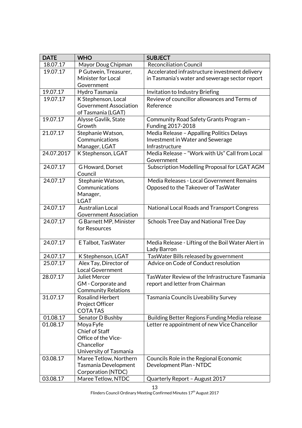| <b>DATE</b> | <b>WHO</b>                    | <b>SUBJECT</b>                                                                                |
|-------------|-------------------------------|-----------------------------------------------------------------------------------------------|
| 18.07.17    | Mayor Doug Chipman            | <b>Reconciliation Council</b>                                                                 |
| 19.07.17    | P Gutwein, Treasurer,         | Accelerated infrastructure investment delivery                                                |
|             | Minister for Local            | in Tasmania's water and sewerage sector report                                                |
|             | Government                    |                                                                                               |
| 19.07.17    | Hydro Tasmania                | Invitation to Industry Briefing                                                               |
| 19.07.17    | K Stephenson, Local           | Review of councillor allowances and Terms of                                                  |
|             | <b>Government Association</b> | Reference                                                                                     |
|             | of Tasmania (LGAT)            |                                                                                               |
| 19.07.17    | Alysse Gavlik, State          | Community Road Safety Grants Program -                                                        |
|             | Growth                        | Funding 2017-2018                                                                             |
| 21.07.17    | Stephanie Watson,             | Media Release - Appalling Politics Delays                                                     |
|             | Communications                | Investment in Water and Sewerage                                                              |
|             | Manager, LGAT                 | Infrastructure                                                                                |
| 24.07.2017  | K Stephenson, LGAT            | Media Release - "Work with Us" Call from Local                                                |
|             |                               | Government                                                                                    |
| 24.07.17    | G Howard, Dorset<br>Council   | Subscription Modelling Proposal for LGAT AGM                                                  |
| 24.07.17    | Stephanie Watson,             | Media Releases - Local Government Remains                                                     |
|             | Communications                | Opposed to the Takeover of TasWater                                                           |
|             | Manager,                      |                                                                                               |
|             | <b>LGAT</b>                   |                                                                                               |
| 24.07.17    | <b>Australian Local</b>       | National Local Roads and Transport Congress                                                   |
|             | <b>Government Association</b> |                                                                                               |
| 24.07.17    | G Barnett MP, Minister        | Schools Tree Day and National Tree Day                                                        |
|             | for Resources                 |                                                                                               |
|             |                               |                                                                                               |
| 24.07.17    | E Talbot, TasWater            | Media Release - Lifting of the Boil Water Alert in                                            |
|             |                               | Lady Barron                                                                                   |
| 24.07.17    | K Stephenson, LGAT            | TasWater Bills released by government                                                         |
| 25.07.17    | Alex Tay, Director of         | Advice on Code of Conduct resolution                                                          |
|             | <b>Local Government</b>       |                                                                                               |
| 28.07.17    | <b>Juliet Mercer</b>          | Tas Water Review of the Infrastructure Tasmania                                               |
|             | GM - Corporate and            | report and letter from Chairman                                                               |
|             | <b>Community Relations</b>    |                                                                                               |
| 31.07.17    | <b>Rosalind Herbert</b>       | Tasmania Councils Liveability Survey                                                          |
|             | <b>Project Officer</b>        |                                                                                               |
| 01.08.17    | <b>COTATAS</b>                |                                                                                               |
| 01.08.17    | Senator D Bushby<br>Moya Fyfe | Building Better Regions Funding Media release<br>Letter re appointment of new Vice Chancellor |
|             | <b>Chief of Staff</b>         |                                                                                               |
|             | Office of the Vice-           |                                                                                               |
|             | Chancellor                    |                                                                                               |
|             | University of Tasmania        |                                                                                               |
| 03.08.17    | Maree Tetlow, Northern        | Councils Role in the Regional Economic                                                        |
|             | Tasmania Development          | Development Plan - NTDC                                                                       |
|             | Corporation (NTDC)            |                                                                                               |
| 03.08.17    | Maree Tetlow, NTDC            | Quarterly Report - August 2017                                                                |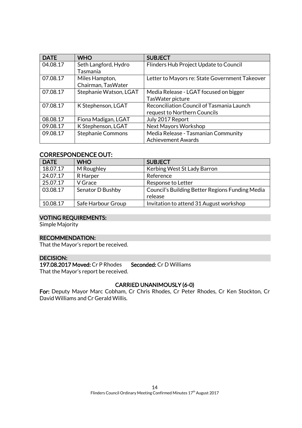| <b>DATE</b> | <b>WHO</b>               | <b>SUBJECT</b>                                 |
|-------------|--------------------------|------------------------------------------------|
| 04.08.17    | Seth Langford, Hydro     | Flinders Hub Project Update to Council         |
|             | Tasmania                 |                                                |
| 07.08.17    | Miles Hampton,           | Letter to Mayors re: State Government Takeover |
|             | Chairman, TasWater       |                                                |
| 07.08.17    | Stephanie Watson, LGAT   | Media Release - LGAT focused on bigger         |
|             |                          | TasWater picture                               |
| 07.08.17    | K Stephenson, LGAT       | Reconciliation Council of Tasmania Launch      |
|             |                          | request to Northern Councils                   |
| 08.08.17    | Fiona Madigan, LGAT      | July 2017 Report                               |
| 09.08.17    | K Stephenson, LGAT       | <b>Next Mayors Workshop</b>                    |
| 09.08.17    | <b>Stephanie Commons</b> | Media Release - Tasmanian Community            |
|             |                          | <b>Achievement Awards</b>                      |

### CORRESPONDENCE OUT:

| <b>DATE</b> | <b>WHO</b>         | <b>SUBJECT</b>                                  |
|-------------|--------------------|-------------------------------------------------|
| 18.07.17    | M Roughley         | Kerbing West St Lady Barron                     |
| 24.07.17    | R Harper           | Reference                                       |
| 25.07.17    | V Grace            | Response to Letter                              |
| 03.08.17    | Senator D Bushby   | Council's Building Better Regions Funding Media |
|             |                    | release                                         |
| 10.08.17    | Safe Harbour Group | Invitation to attend 31 August workshop         |

#### VOTING REQUIREMENTS:

Simple Majority

### RECOMMENDATION:

That the Mayor's report be received.

#### DECISION:

197.08.2017 Moved: Cr P Rhodes Seconded: Cr D Williams

That the Mayor's report be received.

### CARRIED UNANIMOUSLY (6-0)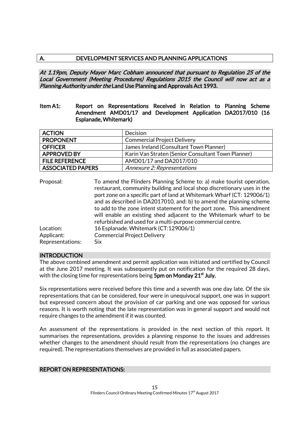### A. DEVELOPMENT SERVICES AND PLANNING APPLICATIONS

At 1.19pm, Deputy Mayor Marc Cobham announced that pursuant to Regulation 25 of the Local Government (Meeting Procedures) Regulations 2015 the Council will now act as a Planning Authority under the Land Use Planning and Approvals Act 1993.

#### Item A1: Report on Representations Received in Relation to Planning Scheme Amendment AMD01/17 and Development Application DA2017/010 (16 Esplanade, Whitemark)

| <b>ACTION</b>            | Decision                                           |  |
|--------------------------|----------------------------------------------------|--|
| <b>PROPONENT</b>         | <b>Commercial Project Delivery</b>                 |  |
| <b>OFFICER</b>           | James Ireland (Consultant Town Planner)            |  |
| <b>APPROVED BY</b>       | Karin Van Straten (Senior Consultant Town Planner) |  |
| <b>FILE REFERENCE</b>    | AMD01/17 and DA2017/010                            |  |
| <b>ASSOCIATED PAPERS</b> | Annexure 2: Representations                        |  |

| Proposal:        | To amend the Flinders Planning Scheme to: a) make tourist operation,<br>restaurant, community building and local shop discretionary uses in the<br>port zone on a specific part of land at Whitemark Wharf (CT: 129006/1) |
|------------------|---------------------------------------------------------------------------------------------------------------------------------------------------------------------------------------------------------------------------|
|                  | and as described in DA2017010, and: b) to amend the planning scheme<br>to add to the zone intent statement for the port zone. This amendment                                                                              |
|                  | will enable an existing shed adjacent to the Whitemark wharf to be<br>refurbished and used for a multi-purpose commercial centre.                                                                                         |
| Location:        | 16 Esplanade. Whitemark (CT:129006/1)                                                                                                                                                                                     |
| Applicant:       | <b>Commercial Project Delivery</b>                                                                                                                                                                                        |
| Representations: | Six                                                                                                                                                                                                                       |

#### INTRODUCTION

The above combined amendment and permit application was initiated and certified by Council at the June 2017 meeting. It was subsequently put on notification for the required 28 days, with the closing time for representations being  $5$ pm on Monday 21 $^{\rm st}$  July.

Six representations were received before this time and a seventh was one day late. Of the six representations that can be considered, four were in unequivocal support, one was in support but expressed concern about the provision of car parking and one was opposed for various reasons. It is worth noting that the late representation was in general support and would not require changes to the amendment if it was counted.

An assessment of the representations is provided in the next section of this report. It summarises the representations, provides a planning response to the issues and addresses whether changes to the amendment should result from the representations (no changes are required). The representations themselves are provided in full as associated papers.

#### REPORT ON REPRESENTATIONS: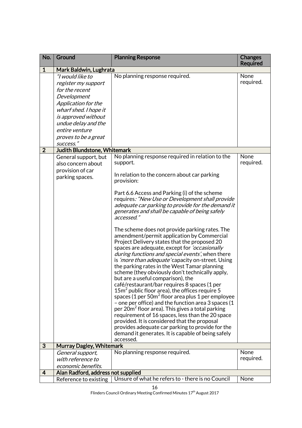| No.            | Ground                                                                                                                     | <b>Planning Response</b>                                                                                                                                                                                                                                                                                                                                                                                                                                                                                                                                                                                                                                                                                                                                                                                                                                                                                                                                                                                                                                                                                                                                                                                                                                                                                      | <b>Changes</b><br><b>Required</b> |
|----------------|----------------------------------------------------------------------------------------------------------------------------|---------------------------------------------------------------------------------------------------------------------------------------------------------------------------------------------------------------------------------------------------------------------------------------------------------------------------------------------------------------------------------------------------------------------------------------------------------------------------------------------------------------------------------------------------------------------------------------------------------------------------------------------------------------------------------------------------------------------------------------------------------------------------------------------------------------------------------------------------------------------------------------------------------------------------------------------------------------------------------------------------------------------------------------------------------------------------------------------------------------------------------------------------------------------------------------------------------------------------------------------------------------------------------------------------------------|-----------------------------------|
| $\mathbf{1}$   | Mark Baldwin, Lughrata                                                                                                     |                                                                                                                                                                                                                                                                                                                                                                                                                                                                                                                                                                                                                                                                                                                                                                                                                                                                                                                                                                                                                                                                                                                                                                                                                                                                                                               |                                   |
|                | "I would like to<br>register my support<br>for the recent<br>Development<br>Application for the                            | No planning response required.                                                                                                                                                                                                                                                                                                                                                                                                                                                                                                                                                                                                                                                                                                                                                                                                                                                                                                                                                                                                                                                                                                                                                                                                                                                                                | None<br>required.                 |
|                | wharf shed. I hope it<br>is approved without<br>undue delay and the<br>entire venture<br>proves to be a great<br>success." |                                                                                                                                                                                                                                                                                                                                                                                                                                                                                                                                                                                                                                                                                                                                                                                                                                                                                                                                                                                                                                                                                                                                                                                                                                                                                                               |                                   |
| $\overline{2}$ | Judith Blundstone, Whitemark                                                                                               |                                                                                                                                                                                                                                                                                                                                                                                                                                                                                                                                                                                                                                                                                                                                                                                                                                                                                                                                                                                                                                                                                                                                                                                                                                                                                                               |                                   |
|                | General support, but<br>also concern about<br>provision of car<br>parking spaces.                                          | No planning response required in relation to the<br>support.<br>In relation to the concern about car parking<br>provision:<br>Part 6.6 Access and Parking (i) of the scheme<br>requires: "New Use or Development shall provide<br>adequate car parking to provide for the demand it<br>generates and shall be capable of being safely<br>accessed."<br>The scheme does not provide parking rates. The<br>amendment/permit application by Commercial<br>Project Delivery states that the proposed 20<br>spaces are adequate, except for <i>'occasionally</i><br>during functions and special events', when there<br>is 'more than adequate' capacity on-street. Using<br>the parking rates in the West Tamar planning<br>scheme (they obviously don't technically apply,<br>but are a useful comparison), the<br>café/restaurant/bar requires 8 spaces (1 per<br>$15m2$ public floor area), the offices require 5<br>spaces (1 per 50 $m2$ floor area plus 1 per employee<br>- one per office) and the function area 3 spaces (1<br>per 20m <sup>2</sup> floor area). This gives a total parking<br>requirement of 16 spaces, less than the 20 space<br>provided. It is considered that the proposal<br>provides adequate car parking to provide for the<br>demand it generates. It is capable of being safely | None<br>required.                 |
| 3              | <b>Murray Dagley, Whitemark</b>                                                                                            | accessed.                                                                                                                                                                                                                                                                                                                                                                                                                                                                                                                                                                                                                                                                                                                                                                                                                                                                                                                                                                                                                                                                                                                                                                                                                                                                                                     |                                   |
|                | General support,<br>with reference to                                                                                      | No planning response required.                                                                                                                                                                                                                                                                                                                                                                                                                                                                                                                                                                                                                                                                                                                                                                                                                                                                                                                                                                                                                                                                                                                                                                                                                                                                                | None<br>required.                 |
|                | economic benefits.                                                                                                         |                                                                                                                                                                                                                                                                                                                                                                                                                                                                                                                                                                                                                                                                                                                                                                                                                                                                                                                                                                                                                                                                                                                                                                                                                                                                                                               |                                   |
| 4              | Alan Radford, address not supplied<br>Reference to existing                                                                | Unsure of what he refers to - there is no Council                                                                                                                                                                                                                                                                                                                                                                                                                                                                                                                                                                                                                                                                                                                                                                                                                                                                                                                                                                                                                                                                                                                                                                                                                                                             | None                              |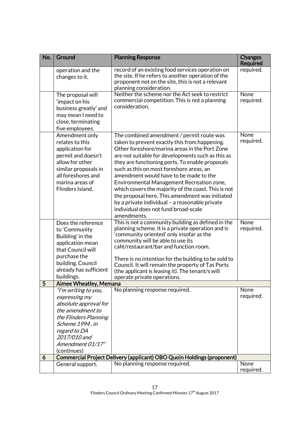| No. | Ground                                                                                                                                                                                            | <b>Planning Response</b>                                                                                                                                                                                                                                                                                                                                                                                                                                                                                                                                                                                  | <b>Changes</b><br><b>Required</b> |
|-----|---------------------------------------------------------------------------------------------------------------------------------------------------------------------------------------------------|-----------------------------------------------------------------------------------------------------------------------------------------------------------------------------------------------------------------------------------------------------------------------------------------------------------------------------------------------------------------------------------------------------------------------------------------------------------------------------------------------------------------------------------------------------------------------------------------------------------|-----------------------------------|
|     | operation and the<br>changes to it.                                                                                                                                                               | record of an existing food services operation on<br>the site. If he refers to another operation of the<br>proponent not on the site, this is not a relevant<br>planning consideration.                                                                                                                                                                                                                                                                                                                                                                                                                    | required.                         |
|     | The proposal will<br>'impact on his<br>business greatly' and<br>may mean I need to<br>close, terminating<br>five employees.                                                                       | Neither the scheme nor the Act seek to restrict<br>commercial competition. This is not a planning<br>consideration.                                                                                                                                                                                                                                                                                                                                                                                                                                                                                       | None<br>required.                 |
|     | Amendment only<br>relates to this<br>application for<br>permit and doesn't<br>allow for other<br>similar proposals in<br>all foreshores and<br>marina areas of<br>Flinders Island.                | The combined amendment / permit route was<br>taken to prevent exactly this from happening.<br>Other foreshore/marina areas in the Port Zone<br>are not suitable for developments such as this as<br>they are functioning ports. To enable proposals<br>such as this on most foreshore areas, an<br>amendment would have to be made to the<br>Environmental Management Recreation zone,<br>which covers the majority of the coast. This is not<br>the proposal here. This amendment was initiated<br>by a private individual - a reasonable private<br>individual does not fund broad-scale<br>amendments. | None<br>required.                 |
|     | Does the reference<br>to 'Community<br>Building' in the<br>application mean<br>that Council will<br>purchase the<br>building. Council<br>already has sufficient<br>buildings.                     | This is not a community building as defined in the<br>planning scheme. It is a private operation and is<br>'community oriented' only insofar as the<br>community will be able to use its<br>café/restaurant/bar and function room.<br>There is no intention for the building to be sold to<br>Council. It will remain the property of Tas Ports<br>(the applicant is leasing it). The tenant/s will<br>operate private operations.                                                                                                                                                                        | None<br>required.                 |
| 5   | <b>Aimee Wheatley, Memana</b>                                                                                                                                                                     |                                                                                                                                                                                                                                                                                                                                                                                                                                                                                                                                                                                                           |                                   |
|     | "I'm writing to you,<br>expressing my<br>absolute approval for<br>the amendment to<br>the Flinders Planning<br>Scheme 1994, in<br>regard to DA<br>2017/010 and<br>Amendment 01/17"<br>(continues) | No planning response required.                                                                                                                                                                                                                                                                                                                                                                                                                                                                                                                                                                            | None<br>required.                 |
| 6   | General support.                                                                                                                                                                                  | Commercial Project Delivery (applicant) OBO Quoin Holdings (proponent)<br>No planning response required.                                                                                                                                                                                                                                                                                                                                                                                                                                                                                                  | None                              |
|     |                                                                                                                                                                                                   |                                                                                                                                                                                                                                                                                                                                                                                                                                                                                                                                                                                                           | required.                         |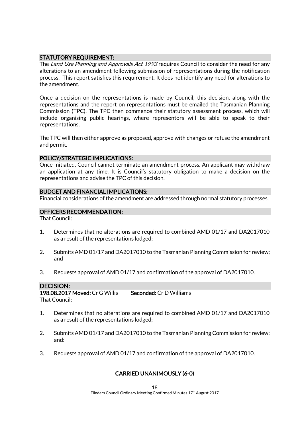### STATUTORY REQUIREMENT:

The Land Use Planning and Approvals Act 1993 requires Council to consider the need for any alterations to an amendment following submission of representations during the notification process. This report satisfies this requirement. It does not identify any need for alterations to the amendment.

Once a decision on the representations is made by Council, this decision, along with the representations and the report on representations must be emailed the Tasmanian Planning Commission (TPC). The TPC then commence their statutory assessment process, which will include organising public hearings, where representors will be able to speak to their representations.

The TPC will then either approve as proposed, approve with changes or refuse the amendment and permit.

#### POLICY/STRATEGIC IMPLICATIONS:

Once initiated, Council cannot terminate an amendment process. An applicant may withdraw an application at any time. It is Council's statutory obligation to make a decision on the representations and advise the TPC of this decision.

#### BUDGET AND FINANCIAL IMPLICATIONS:

Financial considerations of the amendment are addressed through normal statutory processes.

#### OFFICERS RECOMMENDATION:

That Council:

- 1. Determines that no alterations are required to combined AMD 01/17 and DA2017010 as a result of the representations lodged;
- 2. Submits AMD 01/17 and DA2017010 to the Tasmanian Planning Commission for review; and
- 3. Requests approval of AMD 01/17 and confirmation of the approval of DA2017010.

### DECISION:

198.08.2017 Moved: Cr G Willis Seconded: Cr D Williams That Council:

- 1. Determines that no alterations are required to combined AMD 01/17 and DA2017010 as a result of the representations lodged;
- 2. Submits AMD 01/17 and DA2017010 to the Tasmanian Planning Commission for review; and:
- 3. Requests approval of AMD 01/17 and confirmation of the approval of DA2017010.

### CARRIED UNANIMOUSLY (6-0)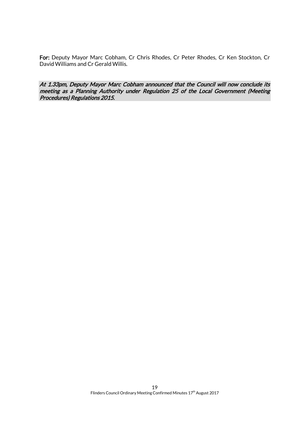For: Deputy Mayor Marc Cobham, Cr Chris Rhodes, Cr Peter Rhodes, Cr Ken Stockton, Cr David Williams and Cr Gerald Willis.

At 1.33pm, Deputy Mayor Marc Cobham announced that the Council will now conclude its meeting as a Planning Authority under Regulation 25 of the Local Government (Meeting Procedures) Regulations 2015.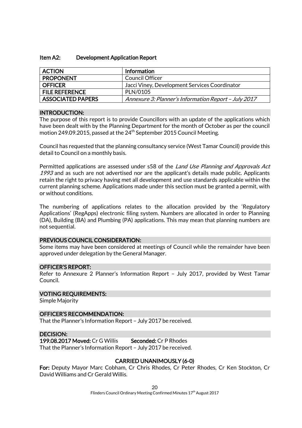#### Item A2: Development Application Report

| <b>ACTION</b>            | Information                                          |
|--------------------------|------------------------------------------------------|
| <b>PROPONENT</b>         | Council Officer                                      |
| <b>OFFICER</b>           | Jacci Viney, Development Services Coordinator        |
| <b>FILE REFERENCE</b>    | PLN/0105                                             |
| <b>ASSOCIATED PAPERS</b> | Annexure 3: Planner's Information Report - July 2017 |

#### INTRODUCTION:

The purpose of this report is to provide Councillors with an update of the applications which have been dealt with by the Planning Department for the month of October as per the council motion 249.09.2015, passed at the  $24^{th}$  September 2015 Council Meeting.

Council has requested that the planning consultancy service (West Tamar Council) provide this detail to Council on a monthly basis.

Permitted applications are assessed under s58 of the *Land Use Planning and Approvals Act* 1993 and as such are not advertised nor are the applicant's details made public. Applicants retain the right to privacy having met all development and use standards applicable within the current planning scheme. Applications made under this section must be granted a permit, with or without conditions.

The numbering of applications relates to the allocation provided by the 'Regulatory Applications' (RegApps) electronic filing system. Numbers are allocated in order to Planning (DA), Building (BA) and Plumbing (PA) applications. This may mean that planning numbers are not sequential.

#### PREVIOUS COUNCIL CONSIDERATION:

Some items may have been considered at meetings of Council while the remainder have been approved under delegation by the General Manager.

#### OFFICER'S REPORT:

Refer to Annexure 2 Planner's Information Report – July 2017, provided by West Tamar Council.

#### VOTING REQUIREMENTS:

Simple Majority

#### OFFICER'S RECOMMENDATION:

That the Planner's Information Report – July 2017 be received.

#### DECISION:

199.08.2017 Moved: Cr G Willis Seconded: Cr P Rhodes That the Planner's Information Report – July 2017 be received.

#### CARRIED UNANIMOUSLY (6-0)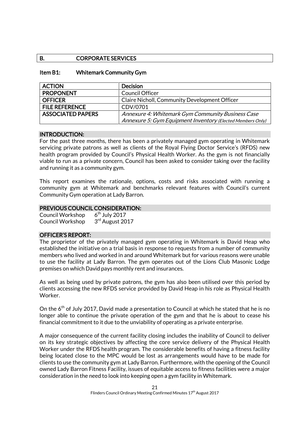### B. CORPORATE SERVICES

#### Item B1: Whitemark Community Gym

| <b>ACTION</b>            | <b>Decision</b>                                            |
|--------------------------|------------------------------------------------------------|
| <b>PROPONENT</b>         | <b>Council Officer</b>                                     |
| <b>OFFICER</b>           | Claire Nicholl, Community Development Officer              |
| <b>FILE REFERENCE</b>    | CDV/0701                                                   |
| <b>ASSOCIATED PAPERS</b> | Annexure 4: Whitemark Gym Community Business Case          |
|                          | Annexure 5: Gym Equipment Inventory (Elected Members Only) |

#### INTRODUCTION:

For the past three months, there has been a privately managed gym operating in Whitemark servicing private patrons as well as clients of the Royal Flying Doctor Service's (RFDS) new health program provided by Council's Physical Health Worker. As the gym is not financially viable to run as a private concern, Council has been asked to consider taking over the facility and running it as a community gym.

This report examines the rationale, options, costs and risks associated with running a community gym at Whitemark and benchmarks relevant features with Council's current Community Gym operation at Lady Barron.

#### PREVIOUS COUNCIL CONSIDERATION:

Council Workshop 6  $6<sup>th</sup>$  July 2017 Council Workshop 3 3<sup>rd</sup> August 2017

#### OFFICER'S REPORT:

The proprietor of the privately managed gym operating in Whitemark is David Heap who established the initiative on a trial basis in response to requests from a number of community members who lived and worked in and around Whitemark but for various reasons were unable to use the facility at Lady Barron. The gym operates out of the Lions Club Masonic Lodge premises on which David pays monthly rent and insurances.

As well as being used by private patrons, the gym has also been utilised over this period by clients accessing the new RFDS service provided by David Heap in his role as Physical Health Worker.

On the 6<sup>th</sup> of July 2017, David made a presentation to Council at which he stated that he is no longer able to continue the private operation of the gym and that he is about to cease his financial commitment to it due to the unviability of operating as a private enterprise.

A major consequence of the current facility closing includes the inability of Council to deliver on its key strategic objectives by affecting the core service delivery of the Physical Health Worker under the RFDS health program. The considerable benefits of having a fitness facility being located close to the MPC would be lost as arrangements would have to be made for clients to use the community gym at Lady Barron. Furthermore, with the opening of the Council owned Lady Barron Fitness Facility, issues of equitable access to fitness facilities were a major consideration in the need to look into keeping open a gym facility in Whitemark.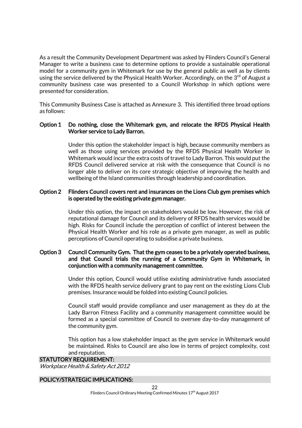As a result the Community Development Department was asked by Flinders Council's General Manager to write a business case to determine options to provide a sustainable operational model for a community gym in Whitemark for use by the general public as well as by clients using the service delivered by the Physical Health Worker. Accordingly, on the  $3<sup>rd</sup>$  of August a community business case was presented to a Council Workshop in which options were presented for consideration.

This Community Business Case is attached as Annexure 3. This identified three broad options as follows:

#### Option 1 Do nothing, close the Whitemark gym, and relocate the RFDS Physical Health Worker service to Lady Barron.

Under this option the stakeholder impact is high, because community members as well as those using services provided by the RFDS Physical Health Worker in Whitemark would incur the extra costs of travel to Lady Barron. This would put the RFDS Council delivered service at risk with the consequence that Council is no longer able to deliver on its core strategic objective of improving the health and wellbeing of the Island communities through leadership and coordination.

#### Option 2 Flinders Council covers rent and insurances on the Lions Club gym premises which is operated by the existing private gym manager.

Under this option, the impact on stakeholders would be low. However, the risk of reputational damage for Council and its delivery of RFDS health services would be high. Risks for Council include the perception of conflict of interest between the Physical Health Worker and his role as a private gym manager, as well as public perceptions of Council operating to subsidise a private business.

### Option 3 Council Community Gym. That the gym ceases to be a privately operated business, and that Council trials the running of a Community Gym in Whitemark, in conjunction with a community management committee.

Under this option, Council would utilise existing administrative funds associated with the RFDS health service delivery grant to pay rent on the existing Lions Club premises. Insurance would be folded into existing Council policies.

Council staff would provide compliance and user management as they do at the Lady Barron Fitness Facility and a community management committee would be formed as a special committee of Council to oversee day-to-day management of the community gym.

This option has a low stakeholder impact as the gym service in Whitemark would be maintained. Risks to Council are also low in terms of project complexity, cost and reputation.

#### STATUTORY REQUIREMENT:

Workplace Health & Safety Act 2012

#### POLICY/STRATEGIC IMPLICATIONS: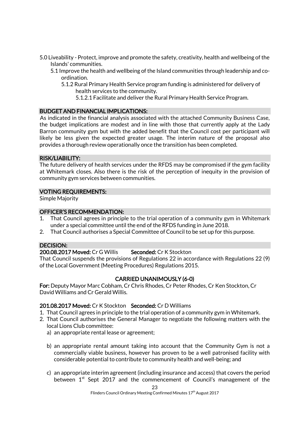- 5.0 Liveability Protect, improve and promote the safety, creativity, health and wellbeing of the Islands' communities.
	- 5.1 Improve the health and wellbeing of the Island communities through leadership and coordination.
		- 5.1.2 Rural Primary Health Service program funding is administered for delivery of health services to the community.
			- 5.1.2.1 Facilitate and deliver the Rural Primary Health Service Program.

### BUDGET AND FINANCIAL IMPLICATIONS:

As indicated in the financial analysis associated with the attached Community Business Case, the budget implications are modest and in line with those that currently apply at the Lady Barron community gym but with the added benefit that the Council cost per participant will likely be less given the expected greater usage. The interim nature of the proposal also provides a thorough review operationally once the transition has been completed.

#### RISK/LIABILITY:

The future delivery of health services under the RFDS may be compromised if the gym facility at Whitemark closes. Also there is the risk of the perception of inequity in the provision of community gym services between communities.

### VOTING REQUIREMENTS:

Simple Majority

### OFFICER'S RECOMMENDATION:

- 1. That Council agrees in principle to the trial operation of a community gym in Whitemark under a special committee until the end of the RFDS funding in June 2018.
- 2. That Council authorises a Special Committee of Council to be set up for this purpose.

### DECISION:

### 200.08.2017 Moved: Cr G Willis Seconded: Cr K Stockton

That Council suspends the provisions of Regulations 22 in accordance with Regulations 22 (9) of the Local Government (Meeting Procedures) Regulations 2015.

### CARRIED UNANIMOUSLY (6-0)

For: Deputy Mayor Marc Cobham, Cr Chris Rhodes, Cr Peter Rhodes, Cr Ken Stockton, Cr David Williams and Cr Gerald Willis.

### 201.08.2017 Moved: Cr K Stockton Seconded: Cr D Williams

- 1. That Council agrees in principle to the trial operation of a community gym in Whitemark.
- 2. That Council authorises the General Manager to negotiate the following matters with the local Lions Club committee:
	- a) an appropriate rental lease or agreement;
	- b) an appropriate rental amount taking into account that the Community Gym is not a commercially viable business, however has proven to be a well patronised facility with considerable potential to contribute to community health and well-being; and
	- c) an appropriate interim agreement (including insurance and access) that covers the period between  $1^{st}$  Sept 2017 and the commencement of Council's management of the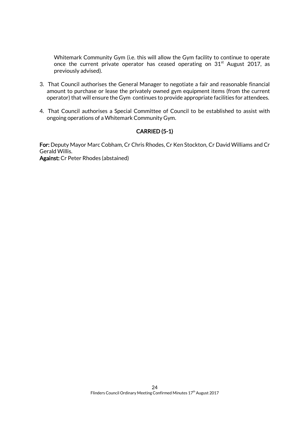Whitemark Community Gym (i.e. this will allow the Gym facility to continue to operate once the current private operator has ceased operating on  $31<sup>st</sup>$  August 2017, as previously advised).

- 3. That Council authorises the General Manager to negotiate a fair and reasonable financial amount to purchase or lease the privately owned gym equipment items (from the current operator) that will ensure the Gym continues to provide appropriate facilities for attendees.
- 4. That Council authorises a Special Committee of Council to be established to assist with ongoing operations of a Whitemark Community Gym.

### CARRIED (5-1)

For: Deputy Mayor Marc Cobham, Cr Chris Rhodes, Cr Ken Stockton, Cr David Williams and Cr Gerald Willis. Against: Cr Peter Rhodes (abstained)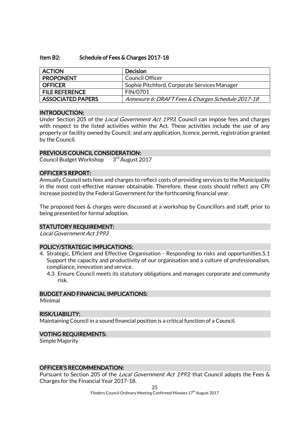#### Item B2: Schedule of Fees & Charges 2017-18

| <b>ACTION</b>            | <b>Decision</b>                                   |
|--------------------------|---------------------------------------------------|
| <b>PROPONENT</b>         | Council Officer                                   |
| <b>OFFICER</b>           | Sophie Pitchford, Corporate Services Manager      |
| <b>FILE REFERENCE</b>    | <b>FIN/0701</b>                                   |
| <b>ASSOCIATED PAPERS</b> | Annexure 6: DRAFT Fees & Charges Schedule 2017-18 |

#### INTRODUCTION:

Under Section 205 of the *Local Government Act 1993*, Council can impose fees and charges with respect to the listed activities within the Act. These activities include the use of any property or facility owned by Council; and any application, licence, permit, registration granted by the Council.

#### PREVIOUS COUNCIL CONSIDERATION:

Council Budget Workshop 3rd August 2017

#### OFFICER'S REPORT:

Annually Council sets fees and charges to reflect costs of providing services to the Municipality in the most cost-effective manner obtainable. Therefore, these costs should reflect any CPI increase posted by the Federal Government for the forthcoming financial year.

The proposed fees & charges were discussed at a workshop by Councillors and staff, prior to being presented for formal adoption.

#### STATUTORY REQUIREMENT:

Local Government Act 1993

#### POLICY/STRATEGIC IMPLICATIONS:

- 4. Strategic, Efficient and Effective Organisation Responding to risks and opportunities.5.1 Support the capacity and productivity of our organisation and a culture of professionalism, compliance, innovation and service.
	- 4.3 Ensure Council meets its statutory obligations and manages corporate and community risk.

#### BUDGET AND FINANCIAL IMPLICATIONS:

Minimal

#### RISK/LIABILITY:

Maintaining Council in a sound financial position is a critical function of a Council.

#### VOTING REQUIREMENTS:

Simple Majority

#### OFFICER'S RECOMMENDATION:

Pursuant to Section 205 of the Local Government Act 1993; that Council adopts the Fees & Charges for the Financial Year 2017-18.

25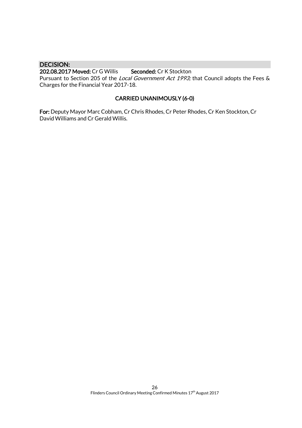### DECISION:

### 202.08.2017 Moved: Cr G Willis Seconded: Cr K Stockton

Pursuant to Section 205 of the Local Government Act 1993; that Council adopts the Fees & Charges for the Financial Year 2017-18.

### CARRIED UNANIMOUSLY (6-0)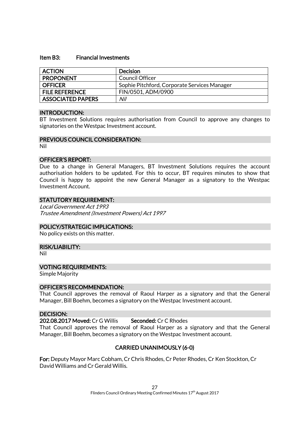#### Item B3: Financial Investments

| <b>ACTION</b>            | <b>Decision</b>                              |
|--------------------------|----------------------------------------------|
| <b>PROPONENT</b>         | Council Officer                              |
| <b>OFFICER</b>           | Sophie Pitchford, Corporate Services Manager |
| <b>FILE REFERENCE</b>    | FIN/0501, ADM/0900                           |
| <b>ASSOCIATED PAPERS</b> | Nil                                          |

#### INTRODUCTION:

BT Investment Solutions requires authorisation from Council to approve any changes to signatories on the Westpac Investment account.

#### PREVIOUS COUNCIL CONSIDERATION:

Nil

#### OFFICER'S REPORT:

Due to a change in General Managers, BT Investment Solutions requires the account authorisation holders to be updated. For this to occur, BT requires minutes to show that Council is happy to appoint the new General Manager as a signatory to the Westpac Investment Account.

#### STATUTORY REQUIREMENT:

Local Government Act 1993 Trustee Amendment (Investment Powers) Act 1997

#### POLICY/STRATEGIC IMPLICATIONS:

No policy exists on this matter.

#### RISK/LIABILITY:

Nil

#### VOTING REQUIREMENTS:

Simple Majority

#### OFFICER'S RECOMMENDATION:

That Council approves the removal of Raoul Harper as a signatory and that the General Manager, Bill Boehm, becomes a signatory on the Westpac Investment account.

#### DECISION:

202.08.2017 Moved: Cr G Willis Seconded: Cr C Rhodes

That Council approves the removal of Raoul Harper as a signatory and that the General Manager, Bill Boehm, becomes a signatory on the Westpac Investment account.

### CARRIED UNANIMOUSLY (6-0)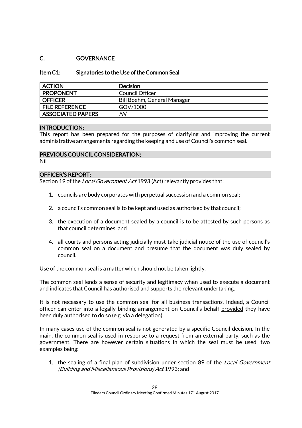### C. **GOVERNANCE**

#### Item C1: Signatories to the Use of the Common Seal

| <b>ACTION</b>            | <b>Decision</b>             |
|--------------------------|-----------------------------|
| <b>PROPONENT</b>         | Council Officer             |
| <b>OFFICER</b>           | Bill Boehm, General Manager |
| <b>FILE REFERENCE</b>    | GOV/1000                    |
| <b>ASSOCIATED PAPERS</b> | Nil                         |

#### INTRODUCTION:

This report has been prepared for the purposes of clarifying and improving the current administrative arrangements regarding the keeping and use of Council's common seal.

#### PREVIOUS COUNCIL CONSIDERATION:

Nil

#### OFFICER'S REPORT:

Section 19 of the *Local Government Act* 1993 (Act) relevantly provides that:

- 1. councils are body corporates with perpetual succession and a common seal;
- 2. a council's common seal is to be kept and used as authorised by that council;
- 3. the execution of a document sealed by a council is to be attested by such persons as that council determines; and
- 4. all courts and persons acting judicially must take judicial notice of the use of council's common seal on a document and presume that the document was duly sealed by council.

Use of the common seal is a matter which should not be taken lightly.

The common seal lends a sense of security and legitimacy when used to execute a document and indicates that Council has authorised and supports the relevant undertaking.

It is not necessary to use the common seal for all business transactions. Indeed, a Council officer can enter into a legally binding arrangement on Council's behalf provided they have been duly authorised to do so (e.g. via a delegation).

In many cases use of the common seal is not generated by a specific Council decision. In the main, the common seal is used in response to a request from an external party, such as the government. There are however certain situations in which the seal must be used, two examples being:

1. the sealing of a final plan of subdivision under section 89 of the *Local Government* [\(Building and Miscellaneous Provisions\) Act](https://www.legislation.tas.gov.au/view/html/inforce/current/act-1993-096) 1993; and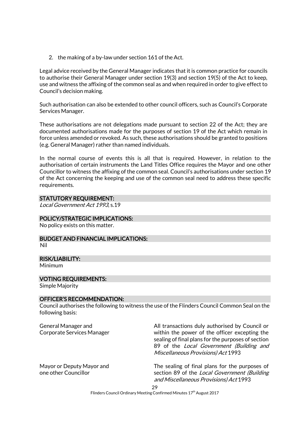2. the making of a by-law under section 161 of the Act.

Legal advice received by the General Manager indicates that it is common practice for councils to authorise their General Manager under section 19(3) and section 19(5) of the Act to keep, use and witness the affixing of the common seal as and when required in order to give effect to Council's decision making.

Such authorisation can also be extended to other council officers, such as Council's Corporate Services Manager.

These authorisations are not delegations made pursuant to section 22 of the Act; they are documented authorisations made for the purposes of section 19 of the Act which remain in force unless amended or revoked. As such, these authorisations should be granted to positions (e.g. General Manager) rather than named individuals.

In the normal course of events this is all that is required. However, in relation to the authorisation of certain instruments the Land Titles Office requires the Mayor and one other Councillor to witness the affixing of the common seal. Council's authorisations under section 19 of the Act concerning the keeping and use of the common seal need to address these specific requirements.

### STATUTORY REQUIREMENT:

Local Government Act 1993, s.19

#### POLICY/STRATEGIC IMPLICATIONS:

No policy exists on this matter.

## BUDGET AND FINANCIAL IMPLICATIONS:

Nil

### RISK/LIABILITY:

Minimum

#### VOTING REQUIREMENTS:

Simple Majority

#### OFFICER'S RECOMMENDATION:

Council authorises the following to witness the use of the Flinders Council Common Seal on the following basis:

General Manager and Corporate Services Manager All transactions duly authorised by Council or within the power of the officer excepting the sealing of final plans for the purposes of section 89 of the Local Government (Building and Miscellaneous Provisions) Act 1993

The sealing of final plans for the purposes of section 89 of the Local Government (Building and Miscellaneous Provisions) Act 1993

Mayor or Deputy Mayor and one other Councillor

> 29 Flinders Council Ordinary Meeting Confirmed Minutes 17<sup>th</sup> August 2017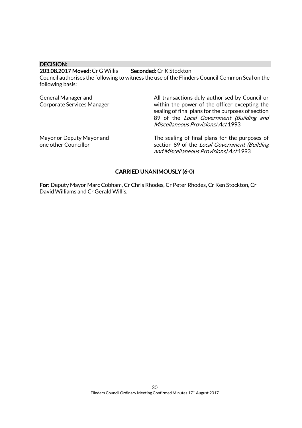DECISION:

#### 203.08.2017 Moved: Cr G Willis Seconded: Cr K Stockton

Council authorises the following to witness the use of the Flinders Council Common Seal on the following basis:

| General Manager and<br><b>Corporate Services Manager</b> | All transactions duly authorised by Council or<br>within the power of the officer excepting the<br>sealing of final plans for the purposes of section<br>89 of the Local Government (Building and<br><b>Miscellaneous Provisions) Act 1993</b> |
|----------------------------------------------------------|------------------------------------------------------------------------------------------------------------------------------------------------------------------------------------------------------------------------------------------------|
| Mayor or Deputy Mayor and<br>one other Councillor        | The sealing of final plans for the purposes of<br>section 89 of the Local Government (Building<br>and Miscellaneous Provisions) Act 1993                                                                                                       |

### CARRIED UNANIMOUSLY (6-0)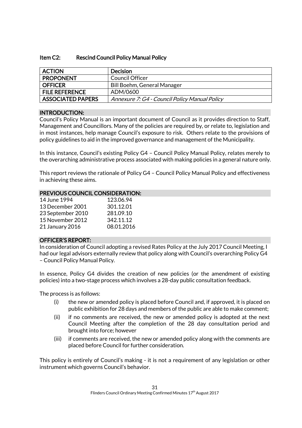### Item C2: Rescind Council Policy Manual Policy

| <b>ACTION</b>            | <b>Decision</b>                               |
|--------------------------|-----------------------------------------------|
| <b>PROPONENT</b>         | Council Officer                               |
| <b>OFFICER</b>           | <b>Bill Boehm, General Manager</b>            |
| <b>FILE REFERENCE</b>    | ADM/0600                                      |
| <b>ASSOCIATED PAPERS</b> | Annexure 7: G4 - Council Policy Manual Policy |

### INTRODUCTION:

Council's Policy Manual is an important document of Council as it provides direction to Staff, Management and Councillors. Many of the policies are required by, or relate to, legislation and in most instances, help manage Council's exposure to risk. Others relate to the provisions of policy guidelines to aid in the improved governance and management of the Municipality.

In this instance, Council's existing Policy G4 – Council Policy Manual Policy, relates merely to the overarching administrative process associated with making policies in a general nature only.

This report reviews the rationale of Policy G4 – Council Policy Manual Policy and effectiveness in achieving these aims.

#### PREVIOUS COUNCIL CONSIDERATION:

| 14 June 1994      | 123.06.94  |
|-------------------|------------|
| 13 December 2001  | 301.12.01  |
| 23 September 2010 | 281.09.10  |
| 15 November 2012  | 342.11.12  |
| 21 January 2016   | 08.01.2016 |

#### OFFICER'S REPORT:

In consideration of Council adopting a revised Rates Policy at the July 2017 Council Meeting, I had our legal advisors externally review that policy along with Council's overarching Policy G4 – Council Policy Manual Policy.

In essence, Policy G4 divides the creation of new policies (or the amendment of existing policies) into a two-stage process which involves a 28-day public consultation feedback.

The process is as follows:

- (i) the new or amended policy is placed before Council and, if approved, it is placed on public exhibition for 28 days and members of the public are able to make comment;
- (ii) if no comments are received, the new or amended policy is adopted at the next Council Meeting after the completion of the 28 day consultation period and brought into force; however
- (iii) if comments are received, the new or amended policy along with the comments are placed before Council for further consideration.

This policy is entirely of Council's making - it is not a requirement of any legislation or other instrument which governs Council's behavior.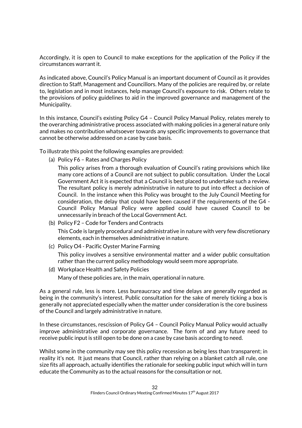Accordingly, it is open to Council to make exceptions for the application of the Policy if the circumstances warrant it.

As indicated above, Council's Policy Manual is an important document of Council as it provides direction to Staff, Management and Councillors. Many of the policies are required by, or relate to, legislation and in most instances, help manage Council's exposure to risk. Others relate to the provisions of policy guidelines to aid in the improved governance and management of the Municipality.

In this instance, Council's existing Policy G4 – Council Policy Manual Policy, relates merely to the overarching administrative process associated with making policies in a general nature only and makes no contribution whatsoever towards any specific improvements to governance that cannot be otherwise addressed on a case by case basis.

To illustrate this point the following examples are provided:

(a) Policy F6 – Rates and Charges Policy

This policy arises from a thorough evaluation of Council's rating provisions which like many core actions of a Council are not subject to public consultation. Under the Local Government Act it is expected that a Council is best placed to undertake such a review. The resultant policy is merely administrative in nature to put into effect a decision of Council. In the instance when this Policy was brought to the July Council Meeting for consideration, the delay that could have been caused if the requirements of the G4 - Council Policy Manual Policy were applied could have caused Council to be unnecessarily in breach of the Local Government Act.

- (b) Policy F2 Code for Tenders and Contracts This Code is largely procedural and administrative in nature with very few discretionary elements, each in themselves administrative in nature.
- (c) Policy O4 Pacific Oyster Marine Farming

This policy involves a sensitive environmental matter and a wider public consultation rather than the current policy methodology would seem more appropriate.

(d) Workplace Health and Safety Policies

Many of these policies are, in the main, operational in nature.

As a general rule, less is more. Less bureaucracy and time delays are generally regarded as being in the community's interest. Public consultation for the sake of merely ticking a box is generally not appreciated especially when the matter under consideration is the core business of the Council and largely administrative in nature.

In these circumstances, rescission of Policy G4 – Council Policy Manual Policy would actually improve administrative and corporate governance. The form of and any future need to receive public input is still open to be done on a case by case basis according to need.

Whilst some in the community may see this policy recession as being less than transparent; in reality it's not. It just means that Council, rather than relying on a blanket catch all rule, one size fits all approach, actually identifies the rationale for seeking public input which will in turn educate the Community as to the actual reasons for the consultation or not.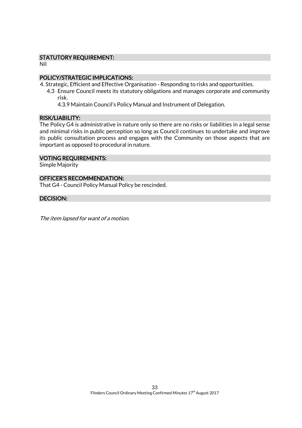### STATUTORY REQUIREMENT:

Nil

### POLICY/STRATEGIC IMPLICATIONS:

4. Strategic, Efficient and Effective Organisation - Responding to risks and opportunities.

4.3 Ensure Council meets its statutory obligations and manages corporate and community risk.

4.3.9 Maintain Council's Policy Manual and Instrument of Delegation.

#### RISK/LIABILITY:

The Policy G4 is administrative in nature only so there are no risks or liabilities in a legal sense and minimal risks in public perception so long as Council continues to undertake and improve its public consultation process and engages with the Community on those aspects that are important as opposed to procedural in nature.

#### VOTING REQUIREMENTS:

Simple Majority

### OFFICER'S RECOMMENDATION:

That G4 - Council Policy Manual Policy be rescinded.

#### DECISION:

The item lapsed for want of a motion.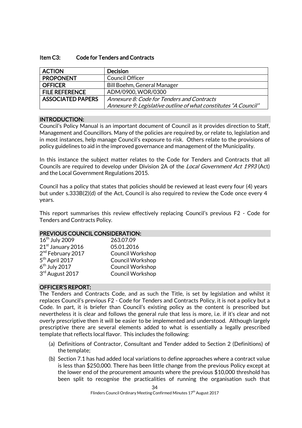#### Item C3: Code for Tenders and Contracts

| <b>ACTION</b>            | <b>Decision</b>                                                 |
|--------------------------|-----------------------------------------------------------------|
| <b>PROPONENT</b>         | <b>Council Officer</b>                                          |
| <b>OFFICER</b>           | <b>Bill Boehm, General Manager</b>                              |
| <b>FILE REFERENCE</b>    | ADM/0900, WOR/0300                                              |
| <b>ASSOCIATED PAPERS</b> | Annexure 8: Code for Tenders and Contracts                      |
|                          | Annexure 9: Legislative outline of what constitutes "A Council" |

#### INTRODUCTION:

Council's Policy Manual is an important document of Council as it provides direction to Staff, Management and Councillors. Many of the policies are required by, or relate to, legislation and in most instances, help manage Council's exposure to risk. Others relate to the provisions of policy guidelines to aid in the improved governance and management of the Municipality.

In this instance the subject matter relates to the Code for Tenders and Contracts that all Councils are required to develop under Division 2A of the *Local Government Act 1993* (Act) and the Local Government Regulations 2015.

Council has a policy that states that policies should be reviewed at least every four (4) years but under s.333B(2)(d) of the Act, Council is also required to review the Code once every 4 years.

This report summarises this review effectively replacing Council's previous F2 - Code for Tenders and Contracts Policy.

#### PREVIOUS COUNCIL CONSIDERATION:

| 263.07.09               |
|-------------------------|
| 05.01.2016              |
| <b>Council Workshop</b> |
| <b>Council Workshop</b> |
| <b>Council Workshop</b> |
| <b>Council Workshop</b> |
|                         |

#### OFFICER'S REPORT:

The Tenders and Contracts Code, and as such the Title, is set by legislation and whilst it replaces Council's previous F2 - Code for Tenders and Contracts Policy, it is not a policy but a Code. In part, it is briefer than Council's existing policy as the content is prescribed but nevertheless it is clear and follows the general rule that less is more, i.e. if it's clear and not overly prescriptive then it will be easier to be implemented and understood. Although largely prescriptive there are several elements added to what is essentially a legally prescribed template that reflects local flavor. This includes the following:

- (a) Definitions of Contractor, Consultant and Tender added to Section 2 (Definitions) of the template;
- (b) Section 7.1 has had added local variations to define approaches where a contract value is less than \$250,000. There has been little change from the previous Policy except at the lower end of the procurement amounts where the previous \$10,000 threshold has been split to recognise the practicalities of running the organisation such that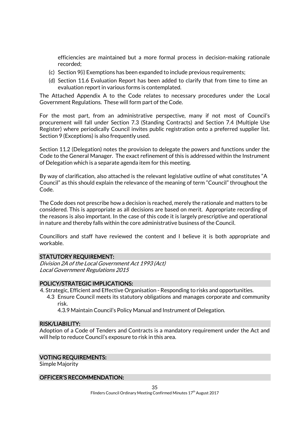efficiencies are maintained but a more formal process in decision-making rationale recorded;

- (c) Section 9(i) Exemptions has been expanded to include previous requirements;
- (d) Section 11.6 Evaluation Report has been added to clarify that from time to time an evaluation report in various forms is contemplated.

The Attached Appendix A to the Code relates to necessary procedures under the Local Government Regulations. These will form part of the Code.

For the most part, from an administrative perspective, many if not most of Council's procurement will fall under Section 7.3 (Standing Contracts) and Section 7.4 (Multiple Use Register) where periodically Council invites public registration onto a preferred supplier list. Section 9 (Exceptions) is also frequently used.

Section 11.2 (Delegation) notes the provision to delegate the powers and functions under the Code to the General Manager. The exact refinement of this is addressed within the Instrument of Delegation which is a separate agenda item for this meeting.

By way of clarification, also attached is the relevant legislative outline of what constitutes "A Council" as this should explain the relevance of the meaning of term "Council" throughout the Code.

The Code does not prescribe how a decision is reached, merely the rationale and matters to be considered. This is appropriate as all decisions are based on merit. Appropriate recording of the reasons is also important. In the case of this code it is largely prescriptive and operational in nature and thereby falls within the core administrative business of the Council.

Councillors and staff have reviewed the content and I believe it is both appropriate and workable.

#### STATUTORY REQUIREMENT:

Division 2A of the Local Government Act 1993 (Act) Local Government Regulations 2015

#### POLICY/STRATEGIC IMPLICATIONS:

4. Strategic, Efficient and Effective Organisation - Responding to risks and opportunities.

4.3 Ensure Council meets its statutory obligations and manages corporate and community risk.

4.3.9 Maintain Council's Policy Manual and Instrument of Delegation.

#### RISK/LIABILITY:

Adoption of a Code of Tenders and Contracts is a mandatory requirement under the Act and will help to reduce Council's exposure to risk in this area.

#### VOTING REQUIREMENTS:

Simple Majority

#### OFFICER'S RECOMMENDATION: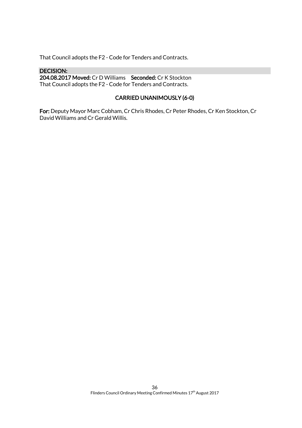That Council adopts the F2 - Code for Tenders and Contracts.

### DECISION:

204.08.2017 Moved: Cr D Williams Seconded: Cr K Stockton That Council adopts the F2 - Code for Tenders and Contracts.

### CARRIED UNANIMOUSLY (6-0)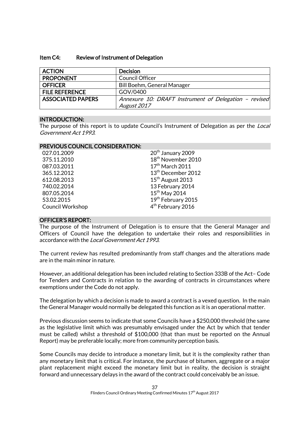| Item C4: | <b>Review of Instrument of Delegation</b> |
|----------|-------------------------------------------|
|----------|-------------------------------------------|

| <b>ACTION</b>            | <b>Decision</b>                                       |
|--------------------------|-------------------------------------------------------|
| <b>PROPONENT</b>         | <b>Council Officer</b>                                |
| <b>OFFICER</b>           | Bill Boehm, General Manager                           |
| <b>FILE REFERENCE</b>    | GOV/0400                                              |
| <b>ASSOCIATED PAPERS</b> | Annexure 10: DRAFT Instrument of Delegation - revised |
|                          | August 2017                                           |

#### INTRODUCTION:

The purpose of this report is to update Council's Instrument of Delegation as per the *Local* Government Act 1993.

#### PREVIOUS COUNCIL CONSIDERATION:

| 027.01.2009             | 20 <sup>th</sup> January 2009  |
|-------------------------|--------------------------------|
| 375.11.2010             | 18 <sup>th</sup> November 2010 |
| 087.03.2011             | $17th$ March 2011              |
| 365.12.2012             | 13 <sup>th</sup> December 2012 |
| 612.08.2013             | 15 <sup>th</sup> August 2013   |
| 740.02.2014             | 13 February 2014               |
| 807.05.2014             | $15th$ May 2014                |
| 53.02.2015              | 19th February 2015             |
| <b>Council Workshop</b> | 4 <sup>th</sup> February 2016  |
|                         |                                |

#### OFFICER'S REPORT:

The purpose of the Instrument of Delegation is to ensure that the General Manager and Officers of Council have the delegation to undertake their roles and responsibilities in accordance with the Local Government Act 1993.

The current review has resulted predominantly from staff changes and the alterations made are in the main minor in nature.

However, an additional delegation has been included relating to Section 333B of the Act– Code for Tenders and Contracts in relation to the awarding of contracts in circumstances where exemptions under the Code do not apply.

The delegation by which a decision is made to award a contract is a vexed question. In the main the General Manager would normally be delegated this function as it is an operational matter.

Previous discussion seems to indicate that some Councils have a \$250,000 threshold (the same as the legislative limit which was presumably envisaged under the Act by which that tender must be called) whilst a threshold of \$100,000 (that than must be reported on the Annual Report) may be preferable locally; more from community perception basis.

Some Councils may decide to introduce a monetary limit, but it is the complexity rather than any monetary limit that is critical. For instance, the purchase of bitumen, aggregate or a major plant replacement might exceed the monetary limit but in reality, the decision is straight forward and unnecessary delays in the award of the contract could conceivably be an issue.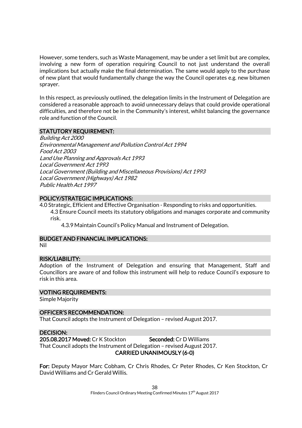However, some tenders, such as Waste Management, may be under a set limit but are complex, involving a new form of operation requiring Council to not just understand the overall implications but actually make the final determination. The same would apply to the purchase of new plant that would fundamentally change the way the Council operates e.g. new bitumen sprayer.

In this respect, as previously outlined, the delegation limits in the Instrument of Delegation are considered a reasonable approach to avoid unnecessary delays that could provide operational difficulties, and therefore not be in the Community's interest, whilst balancing the governance role and function of the Council.

#### STATUTORY REQUIREMENT:

Building Act 2000 Environmental Management and Pollution Control Act 1994 Food Act 2003 Land Use Planning and Approvals Act 1993 Local Government Act 1993 Local Government (Building and Miscellaneous Provisions) Act 1993 Local Government (Highways) Act 1982 Public Health Act 1997

#### POLICY/STRATEGIC IMPLICATIONS:

4.0 Strategic, Efficient and Effective Organisation - Responding to risks and opportunities.

4.3 Ensure Council meets its statutory obligations and manages corporate and community risk.

4.3.9 Maintain Council's Policy Manual and Instrument of Delegation.

#### BUDGET AND FINANCIAL IMPLICATIONS:

Nil

### RISK/LIABILITY:

Adoption of the Instrument of Delegation and ensuring that Management, Staff and Councillors are aware of and follow this instrument will help to reduce Council's exposure to risk in this area.

#### VOTING REQUIREMENTS:

Simple Majority

#### OFFICER'S RECOMMENDATION:

That Council adopts the Instrument of Delegation – revised August 2017.

#### DECISION:

205.08.2017 Moved: Cr K Stockton Seconded: Cr D Williams That Council adopts the Instrument of Delegation – revised August 2017. CARRIED UNANIMOUSLY (6-0)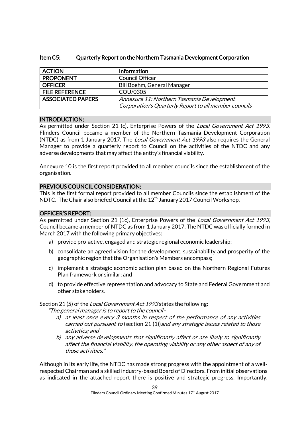| <b>ACTION</b>            | Information                                           |
|--------------------------|-------------------------------------------------------|
| <b>PROPONENT</b>         | Council Officer                                       |
| <b>OFFICER</b>           | <b>Bill Boehm, General Manager</b>                    |
| <b>FILE REFERENCE</b>    | COU/0305                                              |
| <b>ASSOCIATED PAPERS</b> | Annexure 11: Northern Tasmania Development            |
|                          | Corporation's Quarterly Report to all member councils |

### Item C5: Quarterly Report on the Northern Tasmania Development Corporation

#### INTRODUCTION:

As permitted under Section 21 (c), Enterprise Powers of the *Local Government Act 1993*, Flinders Council became a member of the Northern Tasmania Development Corporation (NTDC) as from 1 January 2017. The *Local Government Act 1993* also requires the General Manager to provide a quarterly report to Council on the activities of the NTDC and any adverse developments that may affect the entity's financial viability.

Annexure 10 is the first report provided to all member councils since the establishment of the organisation.

### PREVIOUS COUNCIL CONSIDERATION:

This is the first formal report provided to all member Councils since the establishment of the NDTC. The Chair also briefed Council at the 12<sup>th</sup> January 2017 Council Workshop.

#### OFFICER'S REPORT:

As permitted under Section 21 (1c), Enterprise Powers of the Local Government Act 1993, Council became a member of NTDC as from 1 January 2017. The NTDC was officially formed in March 2017 with the following primary objectives:

- a) provide pro-active, engaged and strategic regional economic leadership;
- b) consolidate an agreed vision for the development, sustainability and prosperity of the geographic region that the Organisation's Members encompass;
- c) implement a strategic economic action plan based on the Northern Regional Futures Plan framework or similar; and
- d) to provide effective representation and advocacy to State and Federal Government and other stakeholders.

## Section 21(5) of the *Local Government Act 1993* states the following:

"The general manager is to report to the council–

- a) at least once every 3 months in respect of the performance of any activities carried out pursuant to (section 21 (1)) and any strategic issues related to those activities; and
- b) any adverse developments that significantly affect or are likely to significantly affect the financial viability, the operating viability or any other aspect of any of those activities."

Although in its early life, the NTDC has made strong progress with the appointment of a wellrespected Chairman and a skilled industry-based Board of Directors. From initial observations as indicated in the attached report there is positive and strategic progress. Importantly,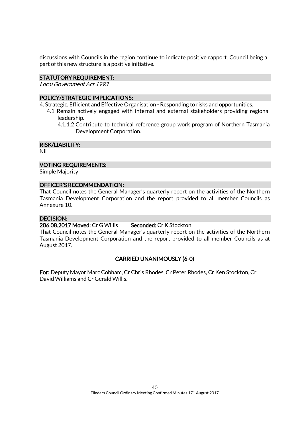discussions with Councils in the region continue to indicate positive rapport. Council being a part of this new structure is a positive initiative.

### STATUTORY REQUIREMENT:

Local Government Act 1993

### POLICY/STRATEGIC IMPLICATIONS:

- 4. Strategic, Efficient and Effective Organisation Responding to risks and opportunities.
	- 4.1 Remain actively engaged with internal and external stakeholders providing regional leadership.
		- 4.1.1.2 Contribute to technical reference group work program of Northern Tasmania Development Corporation.

### RISK/LIABILITY:

Nil

### VOTING REQUIREMENTS:

Simple Majority

#### OFFICER'S RECOMMENDATION:

That Council notes the General Manager's quarterly report on the activities of the Northern Tasmania Development Corporation and the report provided to all member Councils as Annexure 10.

#### DECISION:

206.08.2017 Moved: Cr G Willis Seconded: Cr K Stockton

That Council notes the General Manager's quarterly report on the activities of the Northern Tasmania Development Corporation and the report provided to all member Councils as at August 2017.

### CARRIED UNANIMOUSLY (6-0)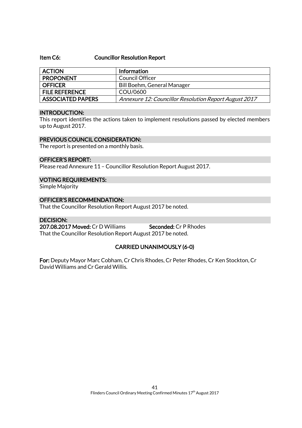#### Item C6: Councillor Resolution Report

| <b>ACTION</b>            | <b>Information</b>                                    |
|--------------------------|-------------------------------------------------------|
| <b>PROPONENT</b>         | Council Officer                                       |
| <b>OFFICER</b>           | Bill Boehm, General Manager                           |
| <b>FILE REFERENCE</b>    | COU/0600                                              |
| <b>ASSOCIATED PAPERS</b> | Annexure 12: Councillor Resolution Report August 2017 |

#### INTRODUCTION:

This report identifies the actions taken to implement resolutions passed by elected members up to August 2017.

#### PREVIOUS COUNCIL CONSIDERATION:

The report is presented on a monthly basis.

#### OFFICER'S REPORT:

Please read Annexure 11 – Councillor Resolution Report August 2017.

#### VOTING REQUIREMENTS:

Simple Majority

### OFFICER'S RECOMMENDATION:

That the Councillor Resolution Report August 2017 be noted.

#### DECISION:

207.08.2017 Moved: Cr D Williams Seconded: Cr P Rhodes That the Councillor Resolution Report August 2017 be noted.

### CARRIED UNANIMOUSLY (6-0)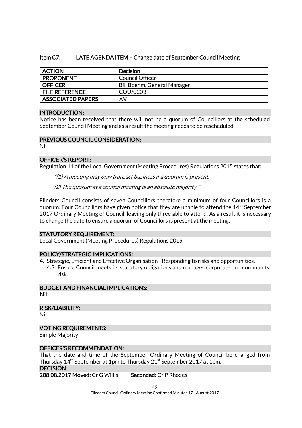### Item C7: LATE AGENDA ITEM – Change date of September Council Meeting

| <b>ACTION</b>            | <b>Decision</b>             |
|--------------------------|-----------------------------|
| <b>PROPONENT</b>         | Council Officer             |
| <b>OFFICER</b>           | Bill Boehm, General Manager |
| <b>FILE REFERENCE</b>    | COU/0203                    |
| <b>ASSOCIATED PAPERS</b> | Nil                         |

#### INTRODUCTION:

Notice has been received that there will not be a quorum of Councillors at the scheduled September Council Meeting and as a result the meeting needs to be rescheduled.

#### PREVIOUS COUNCIL CONSIDERATION:

Nil

### OFFICER'S REPORT:

Regulation 11 of the Local Government (Meeting Procedures) Regulations 2015 states that:

"(1) A meeting may only transact business if a quorum is present.

(2) The quorum at a council meeting is an absolute majority."

Flinders Council consists of seven Councillors therefore a minimum of four Councillors is a quorum. Four Councillors have given notice that they are unable to attend the 14<sup>th</sup> September 2017 Ordinary Meeting of Council, leaving only three able to attend. As a result it is necessary to change the date to ensure a quorum of Councillors is present at the meeting.

#### STATUTORY REQUIREMENT:

Local Government (Meeting Procedures) Regulations 2015

#### POLICY/STRATEGIC IMPLICATIONS:

- 4. Strategic, Efficient and Effective Organisation Responding to risks and opportunities.
	- 4.3 Ensure Council meets its statutory obligations and manages corporate and community risk.

### BUDGET AND FINANCIAL IMPLICATIONS:

Nil

RISK/LIABILITY:

Nil

#### VOTING REQUIREMENTS:

Simple Majority

#### OFFICER'S RECOMMENDATION:

That the date and time of the September Ordinary Meeting of Council be changed from Thursday  $14<sup>th</sup>$  September at 1pm to Thursday 21<sup>st</sup> September 2017 at 1pm. DECISION:

208.08.2017 Moved: Cr G Willis Seconded: Cr P Rhodes

42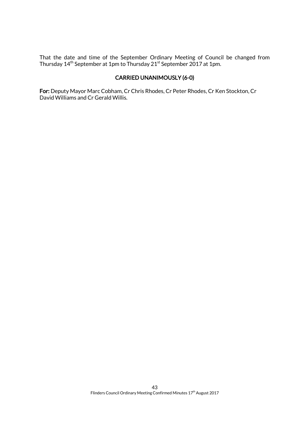That the date and time of the September Ordinary Meeting of Council be changed from Thursday 14<sup>th</sup> September at 1pm to Thursday 21<sup>st</sup> September 2017 at 1pm.

## CARRIED UNANIMOUSLY (6-0)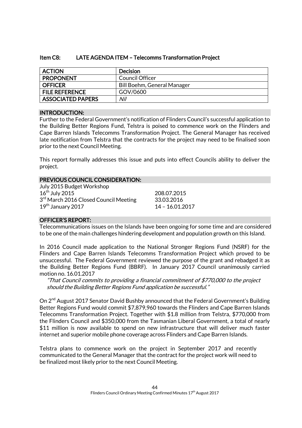### Item C8: LATE AGENDA ITEM – Telecomms Transformation Project

| <b>ACTION</b>            | <b>Decision</b>             |
|--------------------------|-----------------------------|
| <b>PROPONENT</b>         | Council Officer             |
| <b>OFFICER</b>           | Bill Boehm, General Manager |
| <b>FILE REFERENCE</b>    | GOV/0600                    |
| <b>ASSOCIATED PAPERS</b> | Nil                         |

#### INTRODUCTION:

Further to the Federal Government's notification of Flinders Council's successful application to the Building Better Regions Fund, Telstra is poised to commence work on the Flinders and Cape Barren Islands Telecomms Transformation Project. The General Manager has received late notification from Telstra that the contracts for the project may need to be finalised soon prior to the next Council Meeting.

This report formally addresses this issue and puts into effect Councils ability to deliver the project.

#### PREVIOUS COUNCIL CONSIDERATION:

| July 2015 Budget Workshop                         |                 |
|---------------------------------------------------|-----------------|
| $16th$ July 2015                                  | 208.07.2015     |
| 3 <sup>rd</sup> March 2016 Closed Council Meeting | 33.03.2016      |
| $19th$ January 2017                               | 14 - 16.01.2017 |

### OFFICER'S REPORT:

Telecommunications issues on the Islands have been ongoing for some time and are considered to be one of the main challenges hindering development and population growth on this Island.

In 2016 Council made application to the National Stronger Regions Fund (NSRF) for the Flinders and Cape Barren Islands Telecomms Transformation Project which proved to be unsuccessful. The Federal Government reviewed the purpose of the grant and rebadged it as the Building Better Regions Fund (BBRF). In January 2017 Council unanimously carried motion no. 16.01.2017

"That Council commits to providing a financial commitment of \$770,000 to the project should the Building Better Regions Fund application be successful."

On 2<sup>nd</sup> August 2017 Senator David Bushby announced that the Federal Government's Building Better Regions Fund would commit \$7,879,960 towards the Flinders and Cape Barren Islands Telecomms Transformation Project. Together with \$1.8 million from Telstra, \$770,000 from the Flinders Council and \$350,000 from the Tasmanian Liberal Government, a total of nearly \$11 million is now available to spend on new infrastructure that will deliver much faster internet and superior mobile phone coverage across Flinders and Cape Barren Islands.

Telstra plans to commence work on the project in September 2017 and recently communicated to the General Manager that the contract for the project work will need to be finalized most likely prior to the next Council Meeting.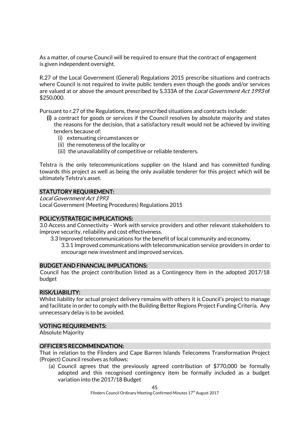As a matter, of course Council will be required to ensure that the contract of engagement is given independent oversight.

R.27 of the Local Government (General) Regulations 2015 prescribe situations and contracts where Council is not required to invite public tenders even though the goods and/or services are valued at or above the amount prescribed by S.333A of the *Local Government Act 1993* of \$250,000.

Pursuant to r.27 of the Regulations, these prescribed situations and contracts include:

- (i) a contract for goods or services if the Council resolves by absolute majority and states the reasons for the decision, that a satisfactory result would not be achieved by inviting tenders because of:
	- (i) extenuating circumstances or
	- (ii) the remoteness of the locality or
	- (iii) the unavailability of competitive or reliable tenderers.

Telstra is the only telecommunications supplier on the Island and has committed funding towards this project as well as being the only available tenderer for this project which will be ultimately Telstra's asset.

### STATUTORY REQUIREMENT:

Local Government Act 1993 Local Government (Meeting Procedures) Regulations 2015

#### POLICY/STRATEGIC IMPLICATIONS:

3.0 Access and Connectivity - Work with service providers and other relevant stakeholders to improve security, reliability and cost effectiveness.

- 3.3 Improved telecommunications for the benefit of local community and economy.
	- 3.3.1 Improved communications with telecommunication service providers in order to encourage new investment and improved services.

#### BUDGET AND FINANCIAL IMPLICATIONS:

Council has the project contribution listed as a Contingency Item in the adopted 2017/18 budget

#### RISK/LIABILITY:

Whilst liability for actual project delivery remains with others it is Council's project to manage and facilitate in order to comply with the Building Better Regions Project Funding Criteria. Any unnecessary delay is to be avoided.

#### VOTING REQUIREMENTS:

Absolute Majority

#### OFFICER'S RECOMMENDATION:

That in relation to the Flinders and Cape Barren Islands Telecomms Transformation Project (Project) Council resolves as follows:

(a) Council agrees that the previously agreed contribution of \$770,000 be formally adopted and this recognised contingency item be formally included as a budget variation into the 2017/18 Budget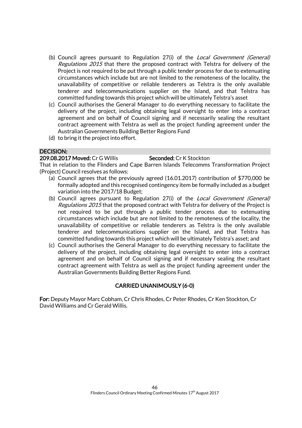- (b) Council agrees pursuant to Regulation 27(i) of the Local Government (General) Regulations 2015 that there the proposed contract with Telstra for delivery of the Project is not required to be put through a public tender process for due to extenuating circumstances which include but are not limited to the remoteness of the locality, the unavailability of competitive or reliable tenderers as Telstra is the only available tenderer and telecommunications supplier on the Island, and that Telstra has committed funding towards this project which will be ultimately Telstra's asset
- (c) Council authorises the General Manager to do everything necessary to facilitate the delivery of the project, including obtaining legal oversight to enter into a contract agreement and on behalf of Council signing and if necessarily sealing the resultant contract agreement with Telstra as well as the project funding agreement under the Australian Governments Building Better Regions Fund
- (d) to bring it the project into effort.

### DECISION:

#### 209.08.2017 Moved: Cr G Willis Seconded: Cr K Stockton

That in relation to the Flinders and Cape Barren Islands Telecomms Transformation Project (Project) Council resolves as follows:

- (a) Council agrees that the previously agreed (16.01.2017) contribution of \$770,000 be formally adopted and this recognised contingency item be formally included as a budget variation into the 2017/18 Budget;
- (b) Council agrees pursuant to Regulation 27(i) of the Local Government (General) Regulations 2015 that the proposed contract with Telstra for delivery of the Project is not required to be put through a public tender process due to extenuating circumstances which include but are not limited to the remoteness of the locality, the unavailability of competitive or reliable tenderers as Telstra is the only available tenderer and telecommunications supplier on the Island, and that Telstra has committed funding towards this project which will be ultimately Telstra's asset; and
- (c) Council authorises the General Manager to do everything necessary to facilitate the delivery of the project, including obtaining legal oversight to enter into a contract agreement and on behalf of Council signing and if necessary sealing the resultant contract agreement with Telstra as well as the project funding agreement under the Australian Governments Building Better Regions Fund.

### CARRIED UNANIMOUSLY (6-0)